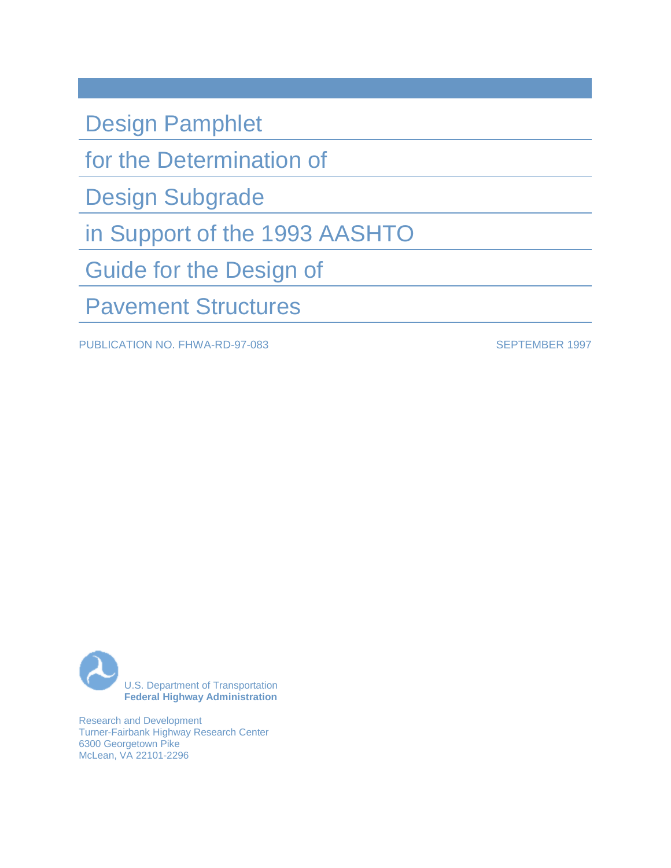Design Pamphlet

for the Determination of

Design Subgrade

in Support of the 1993 AASHTO

Guide for the Design of

Pavement Structures

PUBLICATION NO. FHWA-RD-97-083 SEPTEMBER 1997



Research and Development Turner-Fairbank Highway Research Center 6300 Georgetown Pike McLean, VA 22101-2296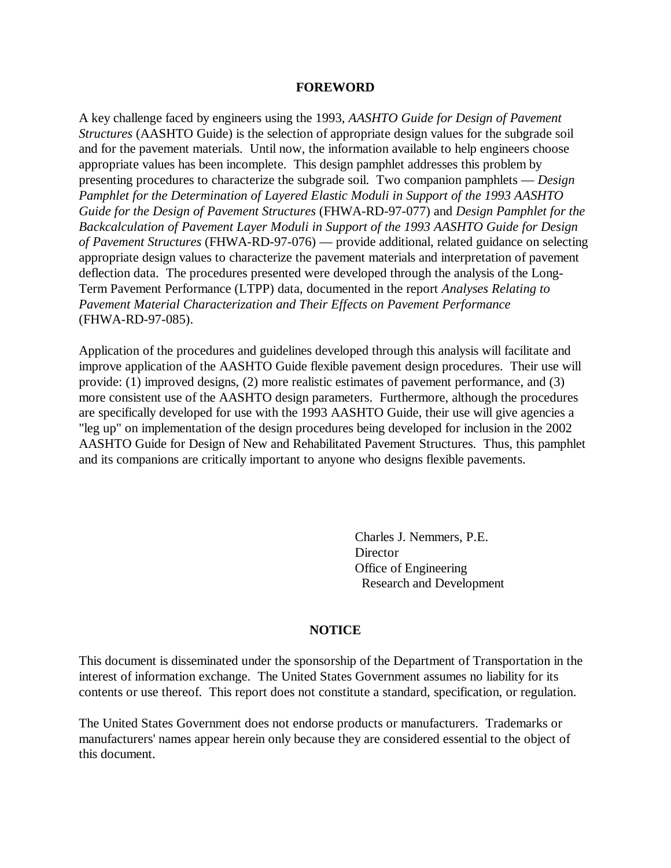#### **FOREWORD**

A key challenge faced by engineers using the 1993, *AASHTO Guide for Design of Pavement Structures* (AASHTO Guide) is the selection of appropriate design values for the subgrade soil and for the pavement materials. Until now, the information available to help engineers choose appropriate values has been incomplete. This design pamphlet addresses this problem by presenting procedures to characterize the subgrade soil. Two companion pamphlets — *Design Pamphlet for the Determination of Layered Elastic Moduli in Support of the 1993 AASHTO Guide for the Design of Pavement Structures* (FHWA-RD-97-077) and *Design Pamphlet for the Backcalculation of Pavement Layer Moduli in Support of the 1993 AASHTO Guide for Design of Pavement Structures* (FHWA-RD-97-076) — provide additional, related guidance on selecting appropriate design values to characterize the pavement materials and interpretation of pavement deflection data. The procedures presented were developed through the analysis of the Long-Term Pavement Performance (LTPP) data, documented in the report *Analyses Relating to Pavement Material Characterization and Their Effects on Pavement Performance* (FHWA-RD-97-085).

Application of the procedures and guidelines developed through this analysis will facilitate and improve application of the AASHTO Guide flexible pavement design procedures. Their use will provide: (1) improved designs, (2) more realistic estimates of pavement performance, and (3) more consistent use of the AASHTO design parameters. Furthermore, although the procedures are specifically developed for use with the 1993 AASHTO Guide, their use will give agencies a "leg up" on implementation of the design procedures being developed for inclusion in the 2002 AASHTO Guide for Design of New and Rehabilitated Pavement Structures. Thus, this pamphlet and its companions are critically important to anyone who designs flexible pavements.

> Charles J. Nemmers, P.E. **Director** Office of Engineering Research and Development

#### **NOTICE**

This document is disseminated under the sponsorship of the Department of Transportation in the interest of information exchange. The United States Government assumes no liability for its contents or use thereof. This report does not constitute a standard, specification, or regulation.

The United States Government does not endorse products or manufacturers. Trademarks or manufacturers' names appear herein only because they are considered essential to the object of this document.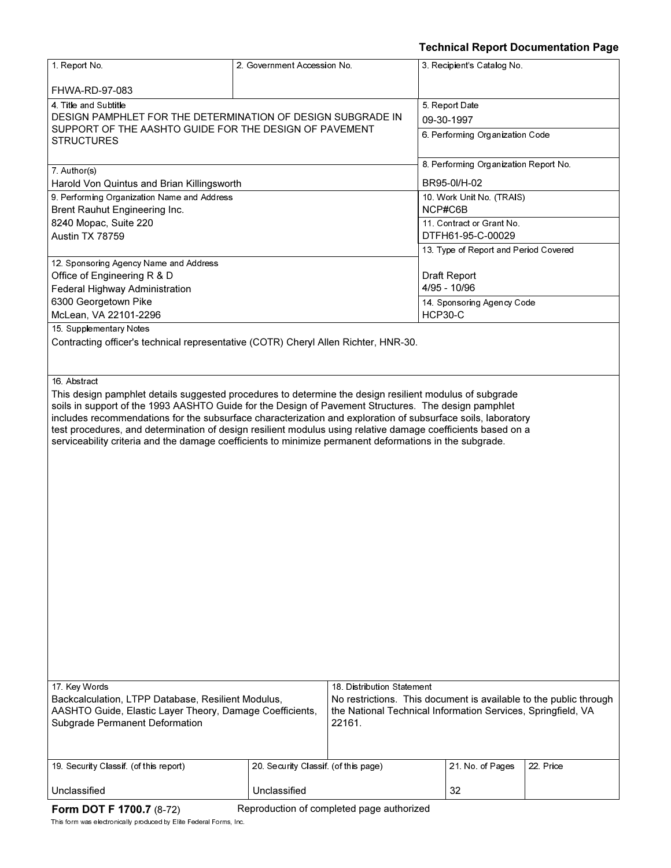## **Technical Report Documentation Page**

| 1. Report No.                                                                                                | 2. Government Accession No.                                                                                  |                                 | 3. Recipient's Catalog No.                                        |          |  |
|--------------------------------------------------------------------------------------------------------------|--------------------------------------------------------------------------------------------------------------|---------------------------------|-------------------------------------------------------------------|----------|--|
| FHWA-RD-97-083                                                                                               |                                                                                                              |                                 |                                                                   |          |  |
| 4. Title and Subtitle<br>DESIGN PAMPHLET FOR THE DETERMINATION OF DESIGN SUBGRADE IN                         |                                                                                                              |                                 | 5. Report Date<br>09-30-1997                                      |          |  |
| SUPPORT OF THE AASHTO GUIDE FOR THE DESIGN OF PAVEMENT<br><b>STRUCTURES</b>                                  |                                                                                                              | 6. Performing Organization Code |                                                                   |          |  |
|                                                                                                              |                                                                                                              |                                 | 8. Performing Organization Report No.                             |          |  |
| 7. Author(s)<br>Harold Von Quintus and Brian Killingsworth                                                   |                                                                                                              |                                 | BR95-01/H-02                                                      |          |  |
| 9. Performing Organization Name and Address<br>Brent Rauhut Engineering Inc.                                 |                                                                                                              |                                 | 10. Work Unit No. (TRAIS)<br>NCP#C6B                              |          |  |
| 8240 Mopac, Suite 220<br>Austin TX 78759                                                                     |                                                                                                              |                                 | 11 Contract or Grant No.<br>DTFH61-95-C-00029                     |          |  |
|                                                                                                              |                                                                                                              |                                 | 13. Type of Report and Period Covered                             |          |  |
| 12. Sponsoring Agency Name and Address                                                                       |                                                                                                              |                                 |                                                                   |          |  |
| Office of Engineering R & D<br>Federal Highway Administration                                                |                                                                                                              |                                 | Draft Report<br>4/95 - 10/96                                      |          |  |
| 6300 Georgetown Pike                                                                                         |                                                                                                              |                                 | 14. Sponsoring Agency Code                                        |          |  |
| McLean, VA 22101-2296                                                                                        |                                                                                                              |                                 | <b>HCP30-C</b>                                                    |          |  |
| 15. Supplementary Notes                                                                                      |                                                                                                              |                                 |                                                                   |          |  |
| Contracting officer's technical representative (COTR) Cheryl Allen Richter, HNR-30.                          |                                                                                                              |                                 |                                                                   |          |  |
|                                                                                                              |                                                                                                              |                                 |                                                                   |          |  |
| 16. Abstract                                                                                                 |                                                                                                              |                                 |                                                                   |          |  |
| This design pamphlet details suggested procedures to determine the design resilient modulus of subgrade      |                                                                                                              |                                 |                                                                   |          |  |
| soils in support of the 1993 AASHTO Guide for the Design of Pavement Structures. The design pamphlet         |                                                                                                              |                                 |                                                                   |          |  |
| includes recommendations for the subsurface characterization and exploration of subsurface soils, laboratory |                                                                                                              |                                 |                                                                   |          |  |
| serviceability criteria and the damage coefficients to minimize permanent deformations in the subgrade.      | test procedures, and determination of design resilient modulus using relative damage coefficients based on a |                                 |                                                                   |          |  |
|                                                                                                              |                                                                                                              |                                 |                                                                   |          |  |
|                                                                                                              |                                                                                                              |                                 |                                                                   |          |  |
|                                                                                                              |                                                                                                              |                                 |                                                                   |          |  |
|                                                                                                              |                                                                                                              |                                 |                                                                   |          |  |
|                                                                                                              |                                                                                                              |                                 |                                                                   |          |  |
|                                                                                                              |                                                                                                              |                                 |                                                                   |          |  |
|                                                                                                              |                                                                                                              |                                 |                                                                   |          |  |
|                                                                                                              |                                                                                                              |                                 |                                                                   |          |  |
|                                                                                                              |                                                                                                              |                                 |                                                                   |          |  |
|                                                                                                              |                                                                                                              |                                 |                                                                   |          |  |
|                                                                                                              |                                                                                                              |                                 |                                                                   |          |  |
|                                                                                                              |                                                                                                              |                                 |                                                                   |          |  |
|                                                                                                              |                                                                                                              |                                 |                                                                   |          |  |
|                                                                                                              |                                                                                                              |                                 |                                                                   |          |  |
|                                                                                                              |                                                                                                              |                                 |                                                                   |          |  |
|                                                                                                              |                                                                                                              |                                 |                                                                   |          |  |
|                                                                                                              |                                                                                                              |                                 |                                                                   |          |  |
| 17 Key Words                                                                                                 |                                                                                                              | 18. Distribution Statement      |                                                                   |          |  |
| Backcalculation, LTPP Database, Resilient Modulus,                                                           |                                                                                                              |                                 | No restrictions. This document is available to the public through |          |  |
| AASHTO Guide, Elastic Layer Theory, Damage Coefficients,<br>Subgrade Permanent Deformation                   |                                                                                                              | 22161.                          | the National Technical Information Services, Springfield, VA      |          |  |
|                                                                                                              |                                                                                                              |                                 |                                                                   |          |  |
| 19. Security Classif. (of this report)                                                                       | 20. Security Classif (of this page)                                                                          |                                 | 21. No. of Pages                                                  | 22 Price |  |
| Unclassified                                                                                                 | Unclassified                                                                                                 |                                 | 32                                                                |          |  |

This form was electronically produced by Elite Federal Forms, Inc.

**Form DOT F 1700.7** (8-72) Reproduction of completed page authorized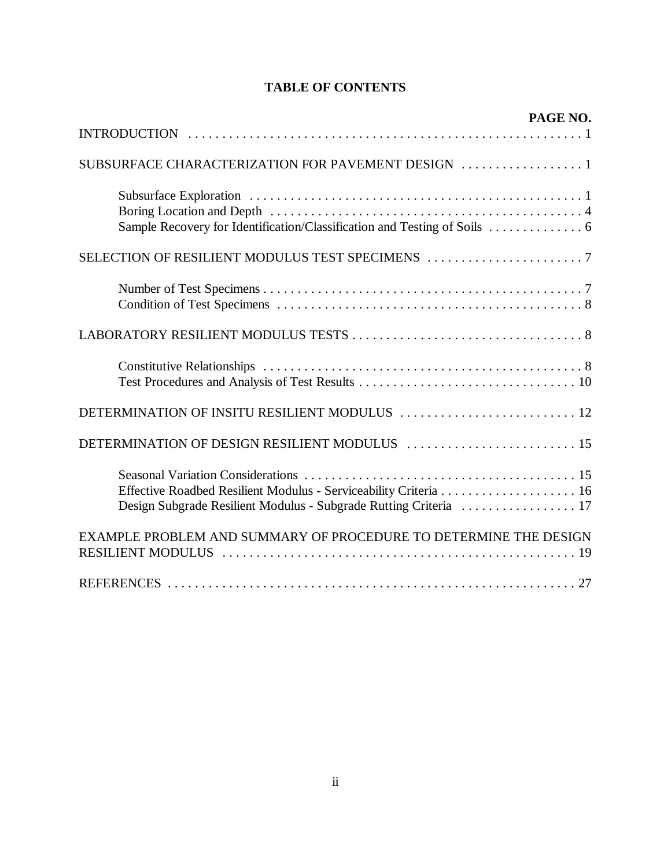| PAGE NO.                                                                  |
|---------------------------------------------------------------------------|
|                                                                           |
| SUBSURFACE CHARACTERIZATION FOR PAVEMENT DESIGN  1                        |
| Sample Recovery for Identification/Classification and Testing of Soils  6 |
|                                                                           |
|                                                                           |
|                                                                           |
|                                                                           |
|                                                                           |
| DETERMINATION OF DESIGN RESILIENT MODULUS  15                             |
| Design Subgrade Resilient Modulus - Subgrade Rutting Criteria  17         |
| EXAMPLE PROBLEM AND SUMMARY OF PROCEDURE TO DETERMINE THE DESIGN          |
|                                                                           |

# **TABLE OF CONTENTS**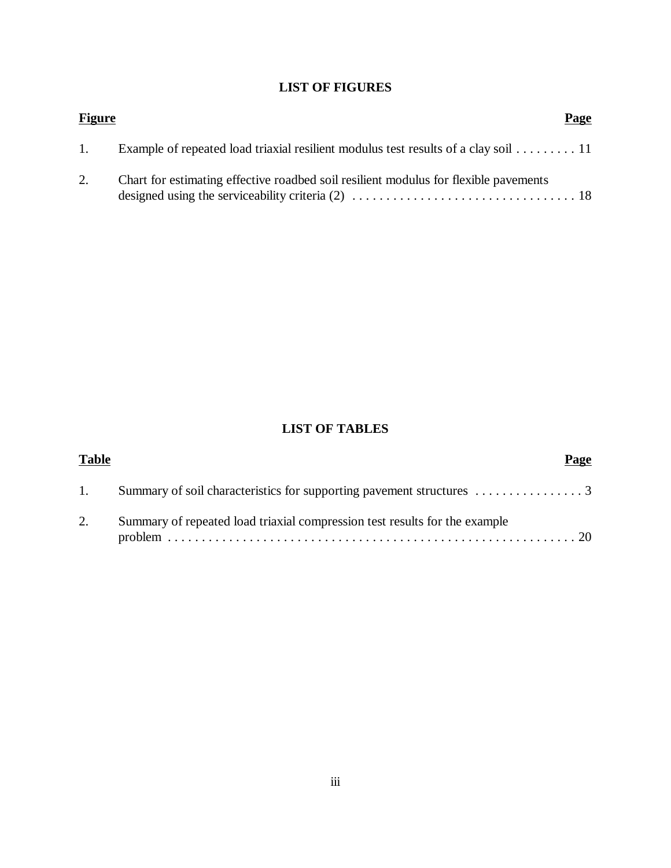# **LIST OF FIGURES**

| <b>Figure</b> |                                                                                      | Page |
|---------------|--------------------------------------------------------------------------------------|------|
| 1.            | Example of repeated load triaxial resilient modulus test results of a clay soil 11   |      |
| 2.            | Chart for estimating effective roadbed soil resilient modulus for flexible payements |      |

# **LIST OF TABLES**

| <b>Table</b> | Page                                                                       |
|--------------|----------------------------------------------------------------------------|
| 1.           |                                                                            |
|              | Summary of repeated load triaxial compression test results for the example |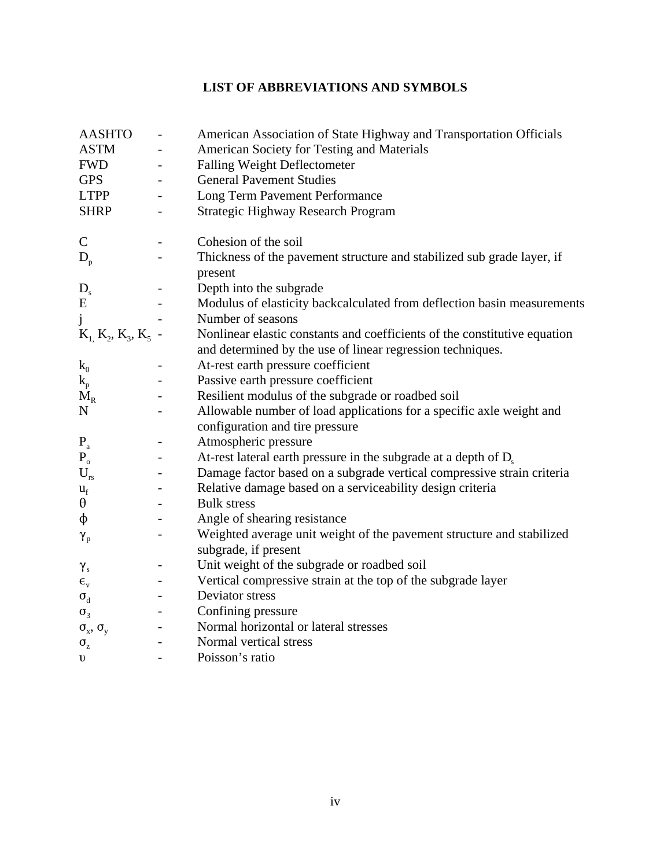# **LIST OF ABBREVIATIONS AND SYMBOLS**

| <b>AASHTO</b>           | $\overline{\phantom{a}}$     | American Association of State Highway and Transportation Officials                                                                      |
|-------------------------|------------------------------|-----------------------------------------------------------------------------------------------------------------------------------------|
| <b>ASTM</b>             | $\overline{\phantom{a}}$     | American Society for Testing and Materials                                                                                              |
| <b>FWD</b>              | $\qquad \qquad \blacksquare$ | <b>Falling Weight Deflectometer</b>                                                                                                     |
| <b>GPS</b>              | $\overline{\phantom{a}}$     | <b>General Pavement Studies</b>                                                                                                         |
| <b>LTPP</b>             | $\overline{\phantom{a}}$     | Long Term Pavement Performance                                                                                                          |
| <b>SHRP</b>             | $\qquad \qquad -$            | Strategic Highway Research Program                                                                                                      |
| $\mathsf{C}$            | $\qquad \qquad \blacksquare$ | Cohesion of the soil                                                                                                                    |
| $D_p$                   | $\qquad \qquad -$            | Thickness of the pavement structure and stabilized sub grade layer, if<br>present                                                       |
| $D_{s}$                 | $\overline{\phantom{0}}$     | Depth into the subgrade                                                                                                                 |
| E                       |                              | Modulus of elasticity backcalculated from deflection basin measurements                                                                 |
| j                       |                              | Number of seasons                                                                                                                       |
| $K_1, K_2, K_3, K_5$ -  |                              | Nonlinear elastic constants and coefficients of the constitutive equation<br>and determined by the use of linear regression techniques. |
| $k_0$                   | $\overline{\phantom{a}}$     | At-rest earth pressure coefficient                                                                                                      |
| $k_{p}$                 |                              | Passive earth pressure coefficient                                                                                                      |
| $M_R$                   |                              | Resilient modulus of the subgrade or roadbed soil                                                                                       |
| ${\bf N}$               | $\overline{\phantom{a}}$     | Allowable number of load applications for a specific axle weight and<br>configuration and tire pressure                                 |
| $\mathbf{P}_{\rm a}$    | $\overline{\phantom{a}}$     | Atmospheric pressure                                                                                                                    |
| $P_{o}$                 | $\overline{\phantom{a}}$     | At-rest lateral earth pressure in the subgrade at a depth of $D_s$                                                                      |
| $\mathbf{U}_{\rm rs}$   |                              | Damage factor based on a subgrade vertical compressive strain criteria                                                                  |
| $u_f$                   | $\overline{\phantom{a}}$     | Relative damage based on a serviceability design criteria                                                                               |
| $\theta$                |                              | <b>Bulk stress</b>                                                                                                                      |
| $\phi$                  | $\overline{\phantom{a}}$     | Angle of shearing resistance                                                                                                            |
| $\gamma_{\rm p}$        | $\overline{\phantom{a}}$     | Weighted average unit weight of the pavement structure and stabilized<br>subgrade, if present                                           |
| $\gamma_{s}$            | $\overline{\phantom{a}}$     | Unit weight of the subgrade or roadbed soil                                                                                             |
| $\epsilon_{\rm v}$      |                              | Vertical compressive strain at the top of the subgrade layer                                                                            |
| $\sigma_d$              |                              | Deviator stress                                                                                                                         |
| $\sigma_{3}$            |                              | Confining pressure                                                                                                                      |
| $\sigma_x$ , $\sigma_y$ | -                            | Normal horizontal or lateral stresses                                                                                                   |
| $\sigma_{\rm z}$        |                              | Normal vertical stress                                                                                                                  |
| υ                       |                              | Poisson's ratio                                                                                                                         |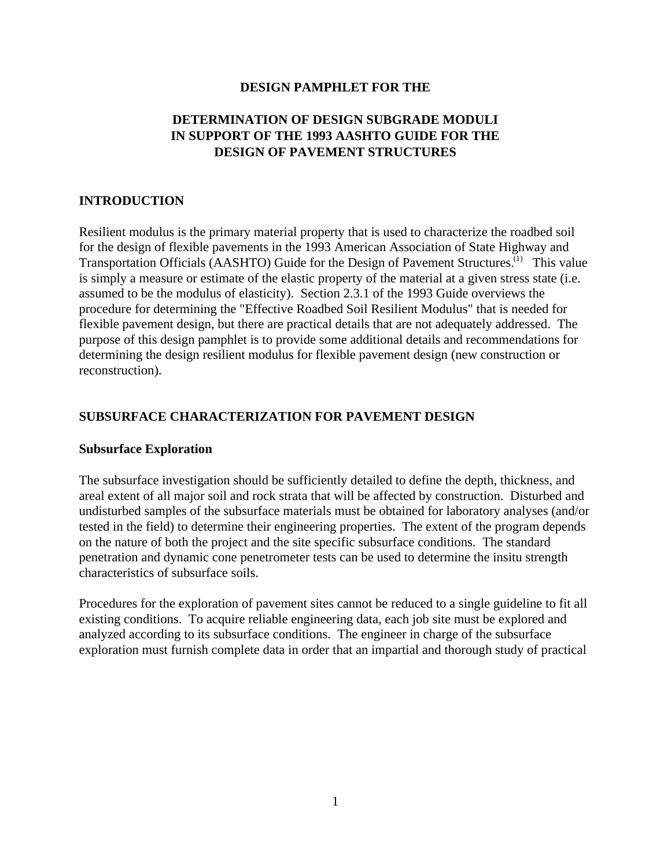#### **DESIGN PAMPHLET FOR THE**

## **DETERMINATION OF DESIGN SUBGRADE MODULI IN SUPPORT OF THE 1993 AASHTO GUIDE FOR THE DESIGN OF PAVEMENT STRUCTURES**

#### **INTRODUCTION**

Resilient modulus is the primary material property that is used to characterize the roadbed soil for the design of flexible pavements in the 1993 American Association of State Highway and Transportation Officials (AASHTO) Guide for the Design of Pavement Structures.<sup>(1)</sup> This value is simply a measure or estimate of the elastic property of the material at a given stress state (i.e. assumed to be the modulus of elasticity). Section 2.3.1 of the 1993 Guide overviews the procedure for determining the "Effective Roadbed Soil Resilient Modulus" that is needed for flexible pavement design, but there are practical details that are not adequately addressed. The purpose of this design pamphlet is to provide some additional details and recommendations for determining the design resilient modulus for flexible pavement design (new construction or reconstruction).

#### **SUBSURFACE CHARACTERIZATION FOR PAVEMENT DESIGN**

#### **Subsurface Exploration**

The subsurface investigation should be sufficiently detailed to define the depth, thickness, and areal extent of all major soil and rock strata that will be affected by construction. Disturbed and undisturbed samples of the subsurface materials must be obtained for laboratory analyses (and/or tested in the field) to determine their engineering properties. The extent of the program depends on the nature of both the project and the site specific subsurface conditions. The standard penetration and dynamic cone penetrometer tests can be used to determine the insitu strength characteristics of subsurface soils.

Procedures for the exploration of pavement sites cannot be reduced to a single guideline to fit all existing conditions. To acquire reliable engineering data, each job site must be explored and analyzed according to its subsurface conditions. The engineer in charge of the subsurface exploration must furnish complete data in order that an impartial and thorough study of practical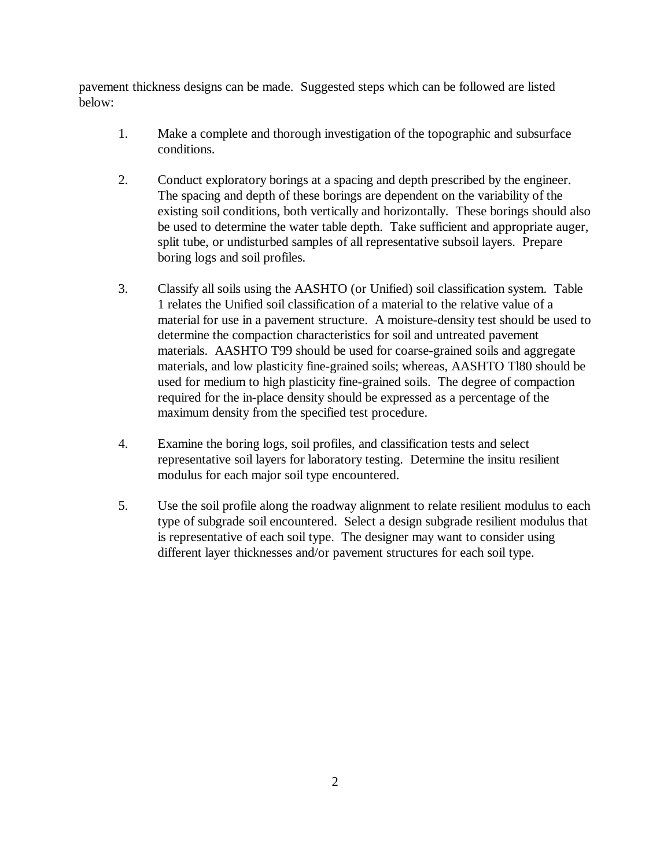pavement thickness designs can be made. Suggested steps which can be followed are listed below:

- 1. Make a complete and thorough investigation of the topographic and subsurface conditions.
- 2. Conduct exploratory borings at a spacing and depth prescribed by the engineer. The spacing and depth of these borings are dependent on the variability of the existing soil conditions, both vertically and horizontally. These borings should also be used to determine the water table depth. Take sufficient and appropriate auger, split tube, or undisturbed samples of all representative subsoil layers. Prepare boring logs and soil profiles.
- 3. Classify all soils using the AASHTO (or Unified) soil classification system. Table 1 relates the Unified soil classification of a material to the relative value of a material for use in a pavement structure. A moisture-density test should be used to determine the compaction characteristics for soil and untreated pavement materials. AASHTO T99 should be used for coarse-grained soils and aggregate materials, and low plasticity fine-grained soils; whereas, AASHTO Tl80 should be used for medium to high plasticity fine-grained soils. The degree of compaction required for the in-place density should be expressed as a percentage of the maximum density from the specified test procedure.
- 4. Examine the boring logs, soil profiles, and classification tests and select representative soil layers for laboratory testing. Determine the insitu resilient modulus for each major soil type encountered.
- 5. Use the soil profile along the roadway alignment to relate resilient modulus to each type of subgrade soil encountered. Select a design subgrade resilient modulus that is representative of each soil type. The designer may want to consider using different layer thicknesses and/or pavement structures for each soil type.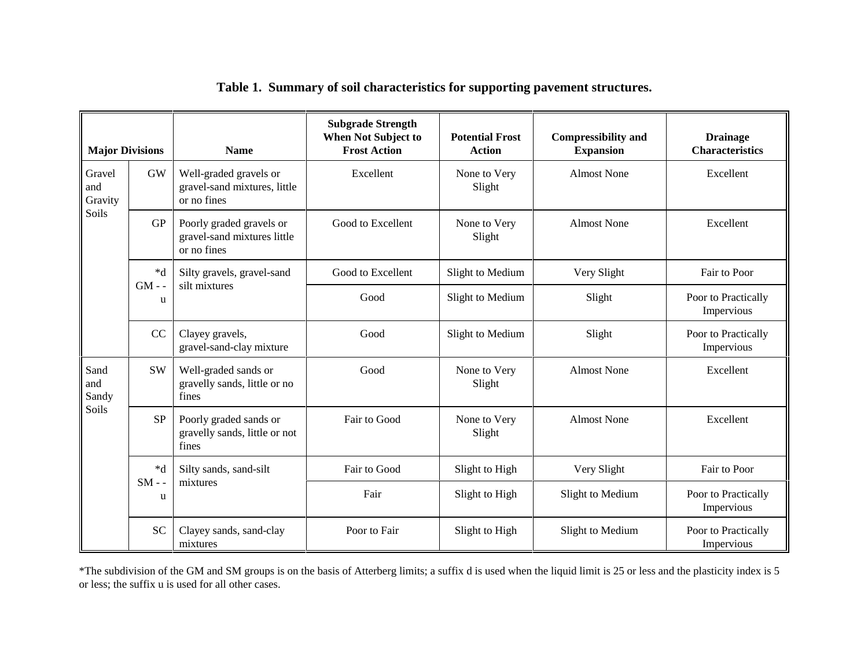| <b>Major Divisions</b>            |             | <b>Name</b>                                                            | <b>Subgrade Strength</b><br><b>When Not Subject to</b><br><b>Frost Action</b> | <b>Potential Frost</b><br><b>Action</b> | <b>Compressibility and</b><br><b>Expansion</b> | <b>Drainage</b><br><b>Characteristics</b> |
|-----------------------------------|-------------|------------------------------------------------------------------------|-------------------------------------------------------------------------------|-----------------------------------------|------------------------------------------------|-------------------------------------------|
| Gravel<br>and<br>Gravity<br>Soils | <b>GW</b>   | Well-graded gravels or<br>gravel-sand mixtures, little<br>or no fines  | Excellent                                                                     | None to Very<br>Slight                  | <b>Almost None</b>                             | Excellent                                 |
|                                   | <b>GP</b>   | Poorly graded gravels or<br>gravel-sand mixtures little<br>or no fines | Good to Excellent                                                             | None to Very<br>Slight                  | <b>Almost None</b>                             | Excellent                                 |
|                                   | $\ast$ d    | Silty gravels, gravel-sand                                             | Good to Excellent                                                             | Slight to Medium                        | Very Slight                                    | Fair to Poor                              |
|                                   | $GM -$<br>u | silt mixtures                                                          | Good                                                                          | Slight to Medium                        | Slight                                         | Poor to Practically<br>Impervious         |
|                                   | CC          | Clayey gravels,<br>gravel-sand-clay mixture                            | Good                                                                          | Slight to Medium                        | Slight                                         | Poor to Practically<br>Impervious         |
| Sand<br>and<br>Sandy<br>Soils     | <b>SW</b>   | Well-graded sands or<br>gravelly sands, little or no<br>fines          | Good                                                                          | None to Very<br>Slight                  | <b>Almost None</b>                             | Excellent                                 |
|                                   | <b>SP</b>   | Poorly graded sands or<br>gravelly sands, little or not<br>fines       | Fair to Good                                                                  | None to Very<br>Slight                  | <b>Almost None</b>                             | Excellent                                 |
|                                   | $*d$        | Silty sands, sand-silt                                                 | Fair to Good                                                                  | Slight to High                          | Very Slight                                    | Fair to Poor                              |
|                                   | $SM -$<br>u | mixtures                                                               | Fair                                                                          | Slight to High                          | Slight to Medium                               | Poor to Practically<br>Impervious         |
|                                   | <b>SC</b>   | Clayey sands, sand-clay<br>mixtures                                    | Poor to Fair                                                                  | Slight to High                          | Slight to Medium                               | Poor to Practically<br>Impervious         |

# **Table 1. Summary of soil characteristics for supporting pavement structures.**

\*The subdivision of the GM and SM groups is on the basis of Atterberg limits; a suffix d is used when the liquid limit is 25 or less and the plasticity index is 5 or less; the suffix u is used for all other cases.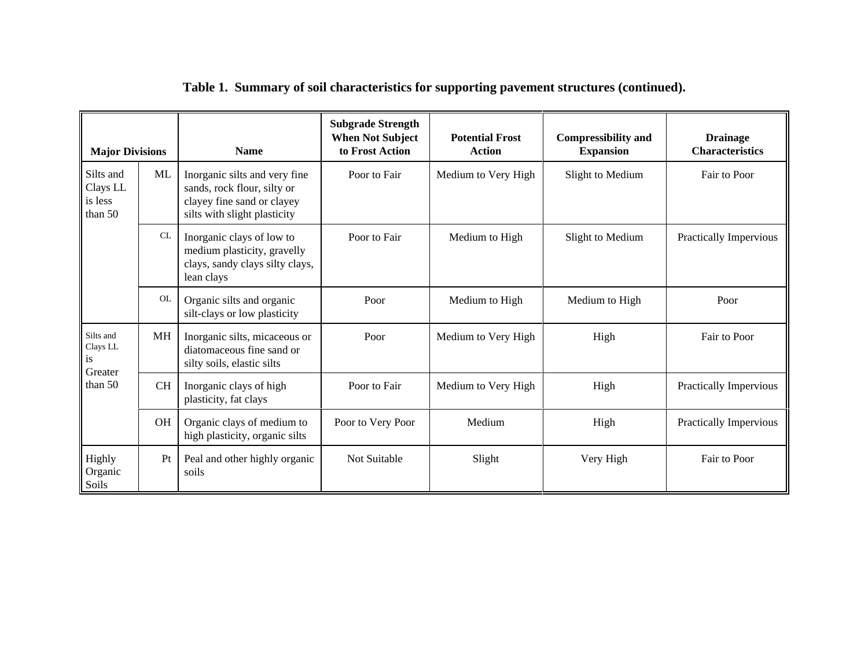| <b>Major Divisions</b>                            |           | <b>Name</b>                                                                                                                | <b>Subgrade Strength</b><br><b>When Not Subject</b><br>to Frost Action | <b>Potential Frost</b><br><b>Action</b> | <b>Compressibility and</b><br><b>Expansion</b> | <b>Drainage</b><br><b>Characteristics</b> |
|---------------------------------------------------|-----------|----------------------------------------------------------------------------------------------------------------------------|------------------------------------------------------------------------|-----------------------------------------|------------------------------------------------|-------------------------------------------|
| Silts and<br>Clays LL<br>is less<br>than 50       | ML        | Inorganic silts and very fine<br>sands, rock flour, silty or<br>clayey fine sand or clayey<br>silts with slight plasticity | Poor to Fair                                                           | Medium to Very High                     | Slight to Medium                               | Fair to Poor                              |
|                                                   | CL        | Inorganic clays of low to<br>medium plasticity, gravelly<br>clays, sandy clays silty clays,<br>lean clays                  | Poor to Fair                                                           | Medium to High                          | Slight to Medium                               | Practically Impervious                    |
|                                                   | OL.       | Organic silts and organic<br>silt-clays or low plasticity                                                                  | Poor                                                                   | Medium to High                          | Medium to High                                 | Poor                                      |
| Silts and<br>Clays LL<br>is<br>Greater<br>than 50 | MH        | Inorganic silts, micaceous or<br>diatomaceous fine sand or<br>silty soils, elastic silts                                   | Poor                                                                   | Medium to Very High                     | High                                           | Fair to Poor                              |
|                                                   | <b>CH</b> | Inorganic clays of high<br>plasticity, fat clays                                                                           | Poor to Fair                                                           | Medium to Very High                     | High                                           | Practically Impervious                    |
|                                                   | <b>OH</b> | Organic clays of medium to<br>high plasticity, organic silts                                                               | Poor to Very Poor                                                      | Medium                                  | High                                           | Practically Impervious                    |
| Highly<br>Organic<br>Soils                        | Pt        | Peal and other highly organic<br>soils                                                                                     | Not Suitable                                                           | Slight                                  | Very High                                      | Fair to Poor                              |

# **Table 1. Summary of soil characteristics for supporting pavement structures (continued).**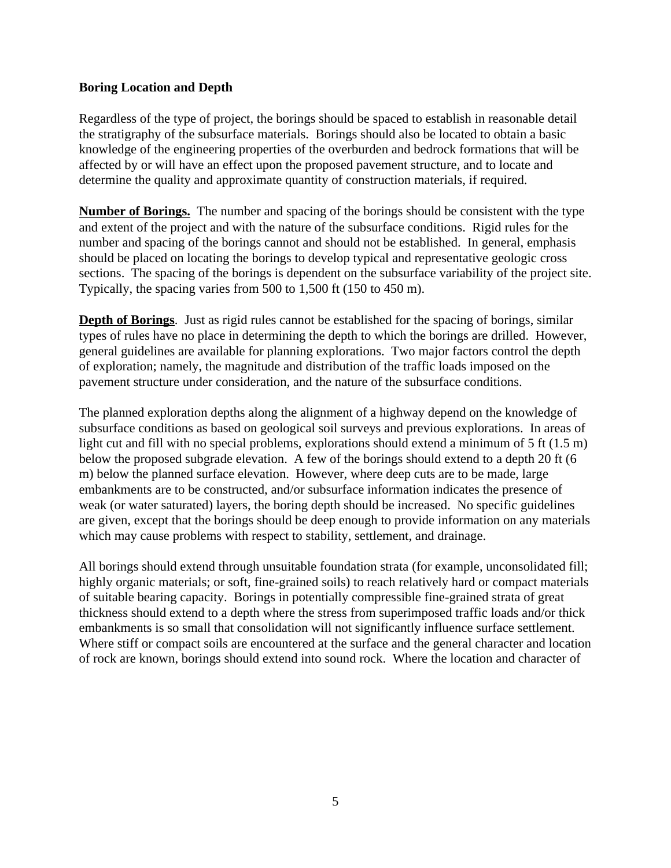## **Boring Location and Depth**

Regardless of the type of project, the borings should be spaced to establish in reasonable detail the stratigraphy of the subsurface materials. Borings should also be located to obtain a basic knowledge of the engineering properties of the overburden and bedrock formations that will be affected by or will have an effect upon the proposed pavement structure, and to locate and determine the quality and approximate quantity of construction materials, if required.

**Number of Borings.** The number and spacing of the borings should be consistent with the type and extent of the project and with the nature of the subsurface conditions. Rigid rules for the number and spacing of the borings cannot and should not be established. In general, emphasis should be placed on locating the borings to develop typical and representative geologic cross sections. The spacing of the borings is dependent on the subsurface variability of the project site. Typically, the spacing varies from 500 to 1,500 ft (150 to 450 m).

**Depth of Borings**. Just as rigid rules cannot be established for the spacing of borings, similar types of rules have no place in determining the depth to which the borings are drilled. However, general guidelines are available for planning explorations. Two major factors control the depth of exploration; namely, the magnitude and distribution of the traffic loads imposed on the pavement structure under consideration, and the nature of the subsurface conditions.

The planned exploration depths along the alignment of a highway depend on the knowledge of subsurface conditions as based on geological soil surveys and previous explorations. In areas of light cut and fill with no special problems, explorations should extend a minimum of 5 ft (1.5 m) below the proposed subgrade elevation. A few of the borings should extend to a depth 20 ft (6 m) below the planned surface elevation. However, where deep cuts are to be made, large embankments are to be constructed, and/or subsurface information indicates the presence of weak (or water saturated) layers, the boring depth should be increased. No specific guidelines are given, except that the borings should be deep enough to provide information on any materials which may cause problems with respect to stability, settlement, and drainage.

All borings should extend through unsuitable foundation strata (for example, unconsolidated fill; highly organic materials; or soft, fine-grained soils) to reach relatively hard or compact materials of suitable bearing capacity. Borings in potentially compressible fine-grained strata of great thickness should extend to a depth where the stress from superimposed traffic loads and/or thick embankments is so small that consolidation will not significantly influence surface settlement. Where stiff or compact soils are encountered at the surface and the general character and location of rock are known, borings should extend into sound rock. Where the location and character of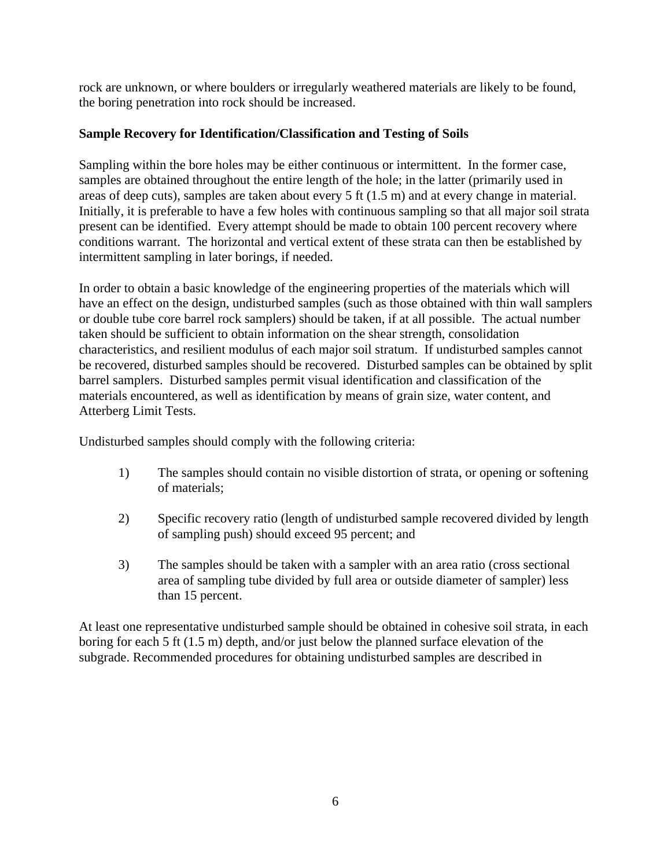rock are unknown, or where boulders or irregularly weathered materials are likely to be found, the boring penetration into rock should be increased.

## **Sample Recovery for Identification/Classification and Testing of Soils**

Sampling within the bore holes may be either continuous or intermittent. In the former case, samples are obtained throughout the entire length of the hole; in the latter (primarily used in areas of deep cuts), samples are taken about every 5 ft (1.5 m) and at every change in material. Initially, it is preferable to have a few holes with continuous sampling so that all major soil strata present can be identified. Every attempt should be made to obtain 100 percent recovery where conditions warrant. The horizontal and vertical extent of these strata can then be established by intermittent sampling in later borings, if needed.

In order to obtain a basic knowledge of the engineering properties of the materials which will have an effect on the design, undisturbed samples (such as those obtained with thin wall samplers or double tube core barrel rock samplers) should be taken, if at all possible. The actual number taken should be sufficient to obtain information on the shear strength, consolidation characteristics, and resilient modulus of each major soil stratum. If undisturbed samples cannot be recovered, disturbed samples should be recovered. Disturbed samples can be obtained by split barrel samplers. Disturbed samples permit visual identification and classification of the materials encountered, as well as identification by means of grain size, water content, and Atterberg Limit Tests.

Undisturbed samples should comply with the following criteria:

- 1) The samples should contain no visible distortion of strata, or opening or softening of materials;
- 2) Specific recovery ratio (length of undisturbed sample recovered divided by length of sampling push) should exceed 95 percent; and
- 3) The samples should be taken with a sampler with an area ratio (cross sectional area of sampling tube divided by full area or outside diameter of sampler) less than 15 percent.

At least one representative undisturbed sample should be obtained in cohesive soil strata, in each boring for each 5 ft (1.5 m) depth, and/or just below the planned surface elevation of the subgrade. Recommended procedures for obtaining undisturbed samples are described in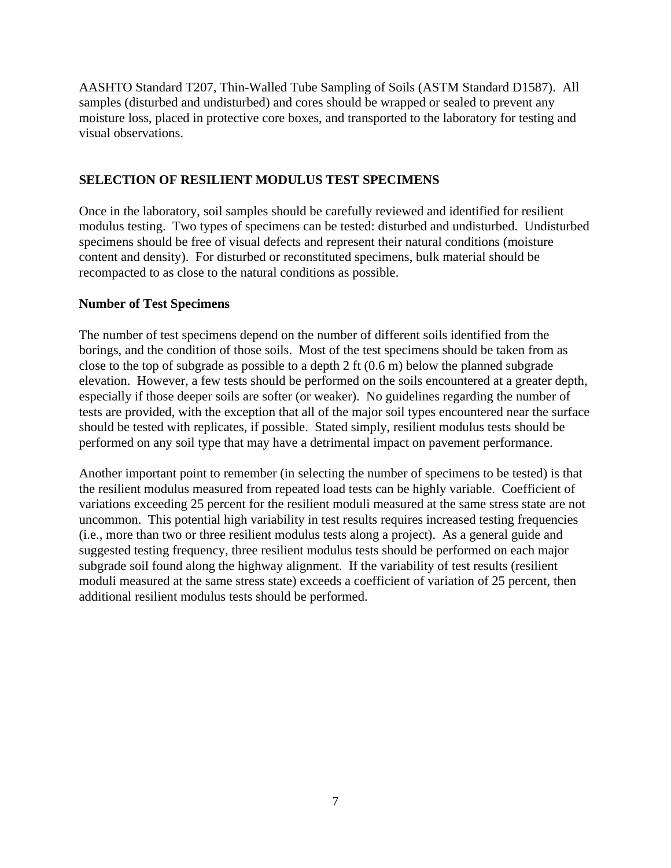AASHTO Standard T207, Thin-Walled Tube Sampling of Soils (ASTM Standard D1587). All samples (disturbed and undisturbed) and cores should be wrapped or sealed to prevent any moisture loss, placed in protective core boxes, and transported to the laboratory for testing and visual observations.

## **SELECTION OF RESILIENT MODULUS TEST SPECIMENS**

Once in the laboratory, soil samples should be carefully reviewed and identified for resilient modulus testing. Two types of specimens can be tested: disturbed and undisturbed. Undisturbed specimens should be free of visual defects and represent their natural conditions (moisture content and density). For disturbed or reconstituted specimens, bulk material should be recompacted to as close to the natural conditions as possible.

## **Number of Test Specimens**

The number of test specimens depend on the number of different soils identified from the borings, and the condition of those soils. Most of the test specimens should be taken from as close to the top of subgrade as possible to a depth 2 ft (0.6 m) below the planned subgrade elevation. However, a few tests should be performed on the soils encountered at a greater depth, especially if those deeper soils are softer (or weaker). No guidelines regarding the number of tests are provided, with the exception that all of the major soil types encountered near the surface should be tested with replicates, if possible. Stated simply, resilient modulus tests should be performed on any soil type that may have a detrimental impact on pavement performance.

Another important point to remember (in selecting the number of specimens to be tested) is that the resilient modulus measured from repeated load tests can be highly variable. Coefficient of variations exceeding 25 percent for the resilient moduli measured at the same stress state are not uncommon. This potential high variability in test results requires increased testing frequencies (i.e., more than two or three resilient modulus tests along a project). As a general guide and suggested testing frequency, three resilient modulus tests should be performed on each major subgrade soil found along the highway alignment. If the variability of test results (resilient moduli measured at the same stress state) exceeds a coefficient of variation of 25 percent, then additional resilient modulus tests should be performed.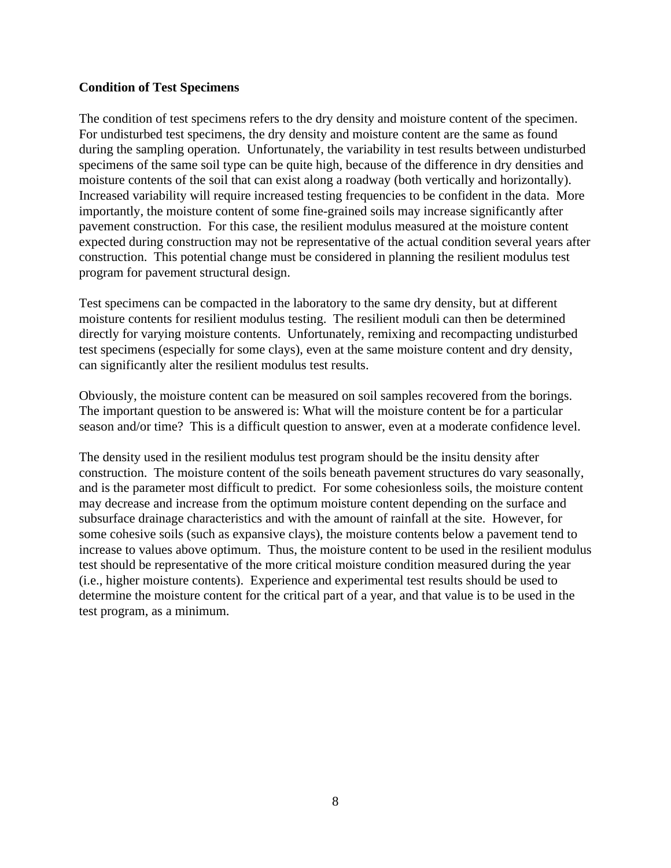### **Condition of Test Specimens**

The condition of test specimens refers to the dry density and moisture content of the specimen. For undisturbed test specimens, the dry density and moisture content are the same as found during the sampling operation. Unfortunately, the variability in test results between undisturbed specimens of the same soil type can be quite high, because of the difference in dry densities and moisture contents of the soil that can exist along a roadway (both vertically and horizontally). Increased variability will require increased testing frequencies to be confident in the data. More importantly, the moisture content of some fine-grained soils may increase significantly after pavement construction. For this case, the resilient modulus measured at the moisture content expected during construction may not be representative of the actual condition several years after construction. This potential change must be considered in planning the resilient modulus test program for pavement structural design.

Test specimens can be compacted in the laboratory to the same dry density, but at different moisture contents for resilient modulus testing. The resilient moduli can then be determined directly for varying moisture contents. Unfortunately, remixing and recompacting undisturbed test specimens (especially for some clays), even at the same moisture content and dry density, can significantly alter the resilient modulus test results.

Obviously, the moisture content can be measured on soil samples recovered from the borings. The important question to be answered is: What will the moisture content be for a particular season and/or time? This is a difficult question to answer, even at a moderate confidence level.

The density used in the resilient modulus test program should be the insitu density after construction. The moisture content of the soils beneath pavement structures do vary seasonally, and is the parameter most difficult to predict. For some cohesionless soils, the moisture content may decrease and increase from the optimum moisture content depending on the surface and subsurface drainage characteristics and with the amount of rainfall at the site. However, for some cohesive soils (such as expansive clays), the moisture contents below a pavement tend to increase to values above optimum. Thus, the moisture content to be used in the resilient modulus test should be representative of the more critical moisture condition measured during the year (i.e., higher moisture contents). Experience and experimental test results should be used to determine the moisture content for the critical part of a year, and that value is to be used in the test program, as a minimum.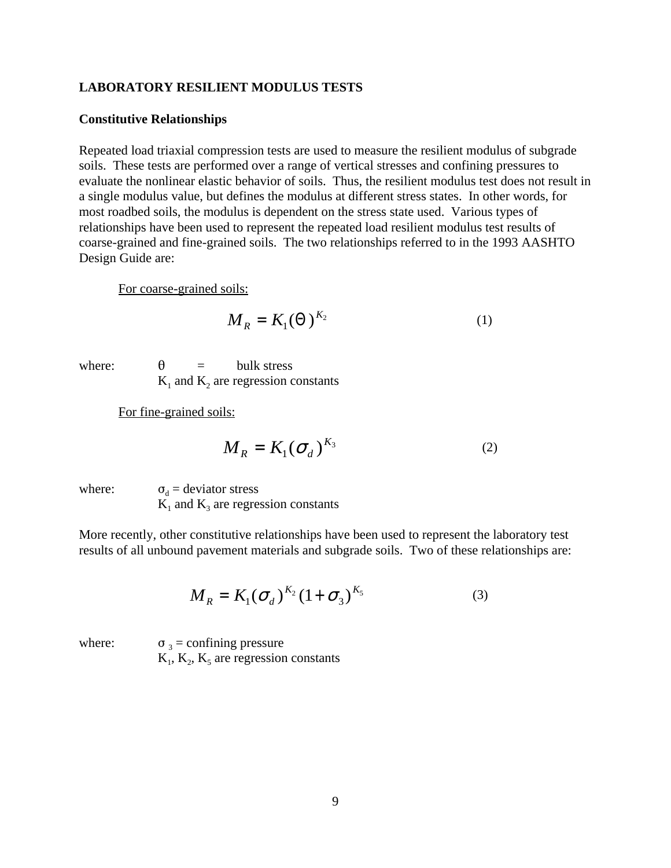#### **LABORATORY RESILIENT MODULUS TESTS**

#### **Constitutive Relationships**

Repeated load triaxial compression tests are used to measure the resilient modulus of subgrade soils. These tests are performed over a range of vertical stresses and confining pressures to evaluate the nonlinear elastic behavior of soils. Thus, the resilient modulus test does not result in a single modulus value, but defines the modulus at different stress states. In other words, for most roadbed soils, the modulus is dependent on the stress state used. Various types of relationships have been used to represent the repeated load resilient modulus test results of coarse-grained and fine-grained soils. The two relationships referred to in the 1993 AASHTO Design Guide are:

For coarse-grained soils:

$$
M_R = K_1(\Theta)^{K_2} \tag{1}
$$

where:  $\theta = \text{bulk stress}$  $K_1$  and  $K_2$  are regression constants

For fine-grained soils:

$$
M_R = K_1(\sigma_d)^{K_3} \tag{2}
$$

where:  $\sigma_d =$  deviator stress  $K_1$  and  $K_3$  are regression constants

More recently, other constitutive relationships have been used to represent the laboratory test results of all unbound pavement materials and subgrade soils. Two of these relationships are:

$$
M_R = K_1(\sigma_d)^{K_2} (1 + \sigma_3)^{K_5}
$$
 (3)

where:  $\sigma_3$  = confining pressure  $K_1$ ,  $K_2$ ,  $K_5$  are regression constants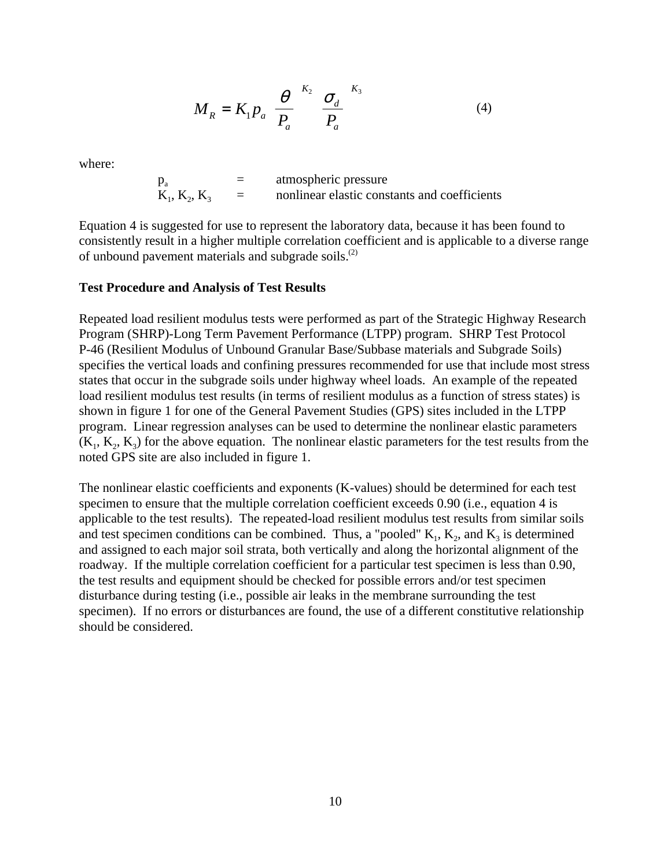$$
M_R = K_1 p_a \left[ \frac{\theta}{P_a} \right]^{K_2} \left[ \frac{\sigma_d}{P_a} \right]^{K_3}
$$
 (4)

where:

 $p_a$  = atmospheric pressure<br>  $K_1, K_2, K_3$  = nonlinear elastic cons nonlinear elastic constants and coefficients

Equation 4 is suggested for use to represent the laboratory data, because it has been found to consistently result in a higher multiple correlation coefficient and is applicable to a diverse range of unbound pavement materials and subgrade soils.(2)

#### **Test Procedure and Analysis of Test Results**

Repeated load resilient modulus tests were performed as part of the Strategic Highway Research Program (SHRP)-Long Term Pavement Performance (LTPP) program. SHRP Test Protocol P-46 (Resilient Modulus of Unbound Granular Base/Subbase materials and Subgrade Soils) specifies the vertical loads and confining pressures recommended for use that include most stress states that occur in the subgrade soils under highway wheel loads. An example of the repeated load resilient modulus test results (in terms of resilient modulus as a function of stress states) is shown in figure 1 for one of the General Pavement Studies (GPS) sites included in the LTPP program. Linear regression analyses can be used to determine the nonlinear elastic parameters  $(K_1, K_2, K_3)$  for the above equation. The nonlinear elastic parameters for the test results from the noted GPS site are also included in figure 1.

The nonlinear elastic coefficients and exponents (K-values) should be determined for each test specimen to ensure that the multiple correlation coefficient exceeds 0.90 (i.e., equation 4 is applicable to the test results). The repeated-load resilient modulus test results from similar soils and test specimen conditions can be combined. Thus, a "pooled"  $K_1$ ,  $K_2$ , and  $K_3$  is determined and assigned to each major soil strata, both vertically and along the horizontal alignment of the roadway. If the multiple correlation coefficient for a particular test specimen is less than 0.90, the test results and equipment should be checked for possible errors and/or test specimen disturbance during testing (i.e., possible air leaks in the membrane surrounding the test specimen). If no errors or disturbances are found, the use of a different constitutive relationship should be considered.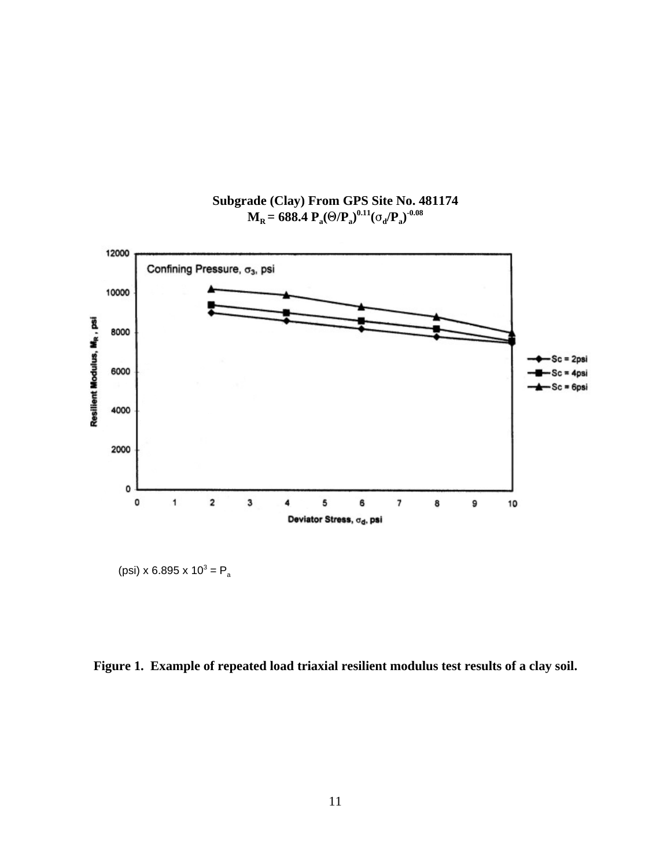

**Subgrade (Clay) From GPS Site No. 481174**  $M_R = 688.4 \ P_a (\Theta/P_a)^{0.11} (\sigma_d/P_a)^{-0.08}$ 

(psi) x 6.895 x 10<sup>3</sup> =  $P_a$ 

**Figure 1. Example of repeated load triaxial resilient modulus test results of a clay soil.**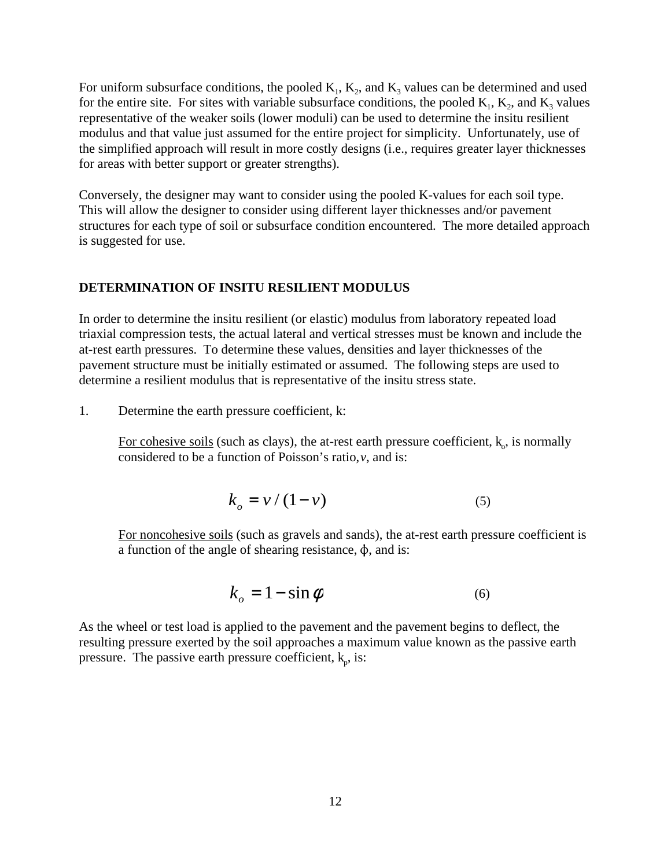For uniform subsurface conditions, the pooled  $K_1$ ,  $K_2$ , and  $K_3$  values can be determined and used for the entire site. For sites with variable subsurface conditions, the pooled  $K_1, K_2$ , and  $K_3$  values representative of the weaker soils (lower moduli) can be used to determine the insitu resilient modulus and that value just assumed for the entire project for simplicity. Unfortunately, use of the simplified approach will result in more costly designs (i.e., requires greater layer thicknesses for areas with better support or greater strengths).

Conversely, the designer may want to consider using the pooled K-values for each soil type. This will allow the designer to consider using different layer thicknesses and/or pavement structures for each type of soil or subsurface condition encountered. The more detailed approach is suggested for use.

#### **DETERMINATION OF INSITU RESILIENT MODULUS**

In order to determine the insitu resilient (or elastic) modulus from laboratory repeated load triaxial compression tests, the actual lateral and vertical stresses must be known and include the at-rest earth pressures. To determine these values, densities and layer thicknesses of the pavement structure must be initially estimated or assumed. The following steps are used to determine a resilient modulus that is representative of the insitu stress state.

1. Determine the earth pressure coefficient, k:

For cohesive soils (such as clays), the at-rest earth pressure coefficient,  $k_0$ , is normally considered to be a function of Poisson's ratio, *v*, and is:

$$
k_o = \nu / (1 - \nu) \tag{5}
$$

For noncohesive soils (such as gravels and sands), the at-rest earth pressure coefficient is a function of the angle of shearing resistance,  $\phi$ , and is:

$$
k_o = 1 - \sin \phi \tag{6}
$$

As the wheel or test load is applied to the pavement and the pavement begins to deflect, the resulting pressure exerted by the soil approaches a maximum value known as the passive earth pressure. The passive earth pressure coefficient,  $k_p$ , is: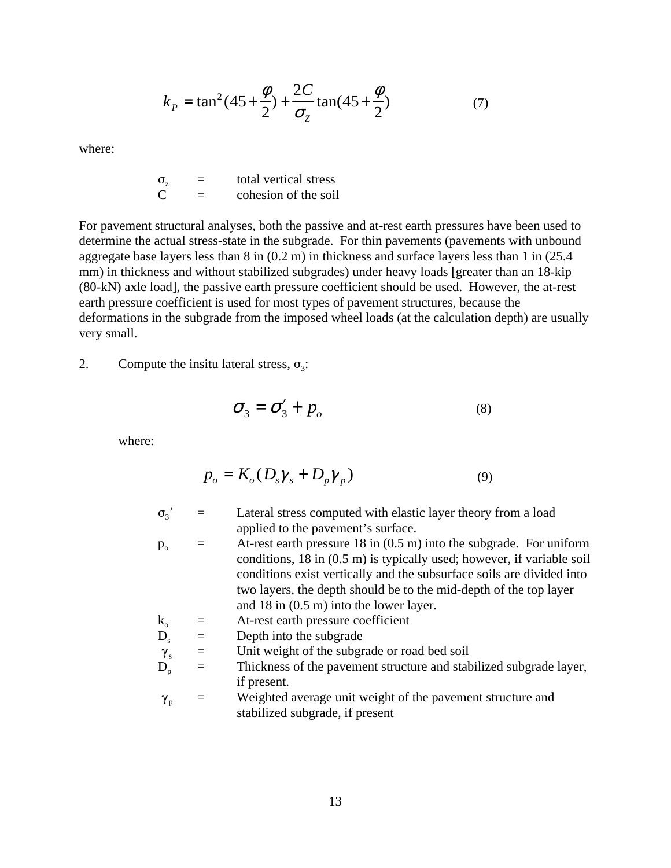$$
k_{P} = \tan^{2}(45 + \frac{\phi}{2}) + \frac{2C}{\sigma_{z}}\tan(45 + \frac{\phi}{2})
$$
 (7)

where:

$$
\sigma_z = \text{total vertical stress}
$$
  
\n
$$
C = \text{cohesion of the soil}
$$

For pavement structural analyses, both the passive and at-rest earth pressures have been used to determine the actual stress-state in the subgrade. For thin pavements (pavements with unbound aggregate base layers less than 8 in (0.2 m) in thickness and surface layers less than 1 in (25.4 mm) in thickness and without stabilized subgrades) under heavy loads [greater than an 18-kip (80-kN) axle load], the passive earth pressure coefficient should be used. However, the at-rest earth pressure coefficient is used for most types of pavement structures, because the deformations in the subgrade from the imposed wheel loads (at the calculation depth) are usually very small.

2. Compute the insitu lateral stress,  $\sigma_3$ :

$$
\sigma_3 = \sigma_3' + p_o \tag{8}
$$

where:

$$
p_o = K_o (D_s \gamma_s + D_p \gamma_p) \tag{9}
$$

- $\sigma_3$  = Lateral stress computed with elastic layer theory from a load applied to the pavement's surface.
- $p_0$  = At-rest earth pressure 18 in (0.5 m) into the subgrade. For uniform conditions, 18 in (0.5 m) is typically used; however, if variable soil conditions exist vertically and the subsurface soils are divided into two layers, the depth should be to the mid-depth of the top layer and 18 in (0.5 m) into the lower layer.
- $k_0$  = At-rest earth pressure coefficient
- $D<sub>s</sub>$  = Depth into the subgrade
- 
- $\gamma_s$  = Unit weight of the subgrade or road bed soil<br>D<sub>n</sub> = Thickness of the pavement structure and stable  $=$  Thickness of the pavement structure and stabilized subgrade layer, if present.
- $\gamma_p$  = Weighted average unit weight of the pavement structure and stabilized subgrade, if present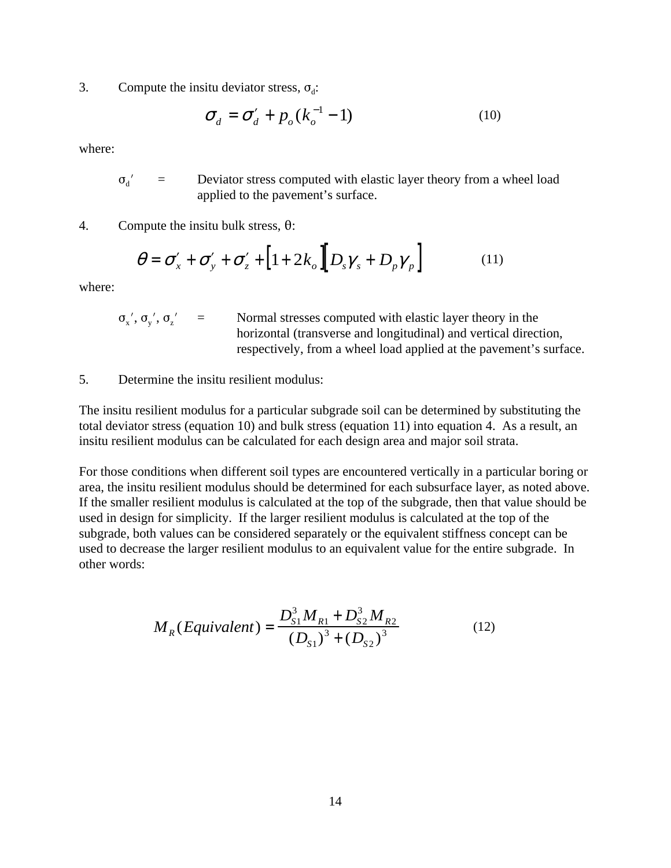3. Compute the insitu deviator stress,  $\sigma_d$ :

$$
\sigma_d = \sigma'_d + p_o(k_o^{-1} - 1) \tag{10}
$$

where:

 $\sigma_{d}$  = Deviator stress computed with elastic layer theory from a wheel load applied to the pavement's surface.

4. Compute the insitu bulk stress,  $\theta$ :

$$
\theta = \sigma_x' + \sigma_y' + \sigma_z' + \left[1 + 2k_o\right]\left[D_s\gamma_s + D_p\gamma_p\right] \tag{11}
$$

where:

$$
\sigma_x'
$$
,  $\sigma_y'$ ,  $\sigma_z'$  = Normal stresses computed with elastic layer theory in the horizontal (transverse and longitudinal) and vertical direction, respectively, from a wheel load applied at the payment's surface.

#### 5. Determine the insitu resilient modulus:

The insitu resilient modulus for a particular subgrade soil can be determined by substituting the total deviator stress (equation 10) and bulk stress (equation 11) into equation 4. As a result, an insitu resilient modulus can be calculated for each design area and major soil strata.

For those conditions when different soil types are encountered vertically in a particular boring or area, the insitu resilient modulus should be determined for each subsurface layer, as noted above. If the smaller resilient modulus is calculated at the top of the subgrade, then that value should be used in design for simplicity. If the larger resilient modulus is calculated at the top of the subgrade, both values can be considered separately or the equivalent stiffness concept can be used to decrease the larger resilient modulus to an equivalent value for the entire subgrade. In other words:

$$
M_R(Equivalent) = \frac{D_{S1}^3 M_{R1} + D_{S2}^3 M_{R2}}{(D_{S1})^3 + (D_{S2})^3}
$$
(12)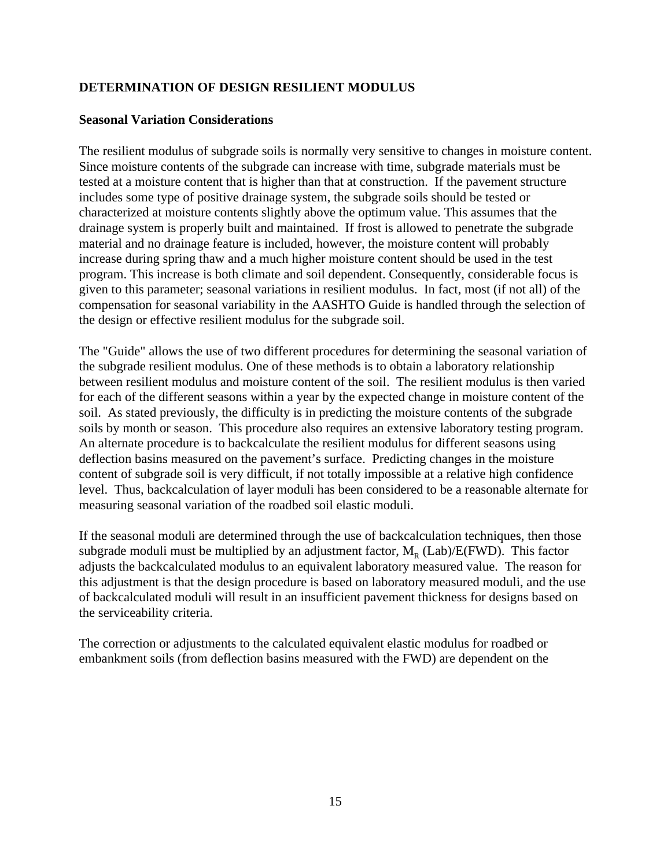## **DETERMINATION OF DESIGN RESILIENT MODULUS**

#### **Seasonal Variation Considerations**

The resilient modulus of subgrade soils is normally very sensitive to changes in moisture content. Since moisture contents of the subgrade can increase with time, subgrade materials must be tested at a moisture content that is higher than that at construction. If the pavement structure includes some type of positive drainage system, the subgrade soils should be tested or characterized at moisture contents slightly above the optimum value. This assumes that the drainage system is properly built and maintained. If frost is allowed to penetrate the subgrade material and no drainage feature is included, however, the moisture content will probably increase during spring thaw and a much higher moisture content should be used in the test program. This increase is both climate and soil dependent. Consequently, considerable focus is given to this parameter; seasonal variations in resilient modulus. In fact, most (if not all) of the compensation for seasonal variability in the AASHTO Guide is handled through the selection of the design or effective resilient modulus for the subgrade soil.

The "Guide" allows the use of two different procedures for determining the seasonal variation of the subgrade resilient modulus. One of these methods is to obtain a laboratory relationship between resilient modulus and moisture content of the soil. The resilient modulus is then varied for each of the different seasons within a year by the expected change in moisture content of the soil. As stated previously, the difficulty is in predicting the moisture contents of the subgrade soils by month or season. This procedure also requires an extensive laboratory testing program. An alternate procedure is to backcalculate the resilient modulus for different seasons using deflection basins measured on the pavement's surface. Predicting changes in the moisture content of subgrade soil is very difficult, if not totally impossible at a relative high confidence level. Thus, backcalculation of layer moduli has been considered to be a reasonable alternate for measuring seasonal variation of the roadbed soil elastic moduli.

If the seasonal moduli are determined through the use of backcalculation techniques, then those subgrade moduli must be multiplied by an adjustment factor,  $M_R$  (Lab)/E(FWD). This factor adjusts the backcalculated modulus to an equivalent laboratory measured value. The reason for this adjustment is that the design procedure is based on laboratory measured moduli, and the use of backcalculated moduli will result in an insufficient pavement thickness for designs based on the serviceability criteria.

The correction or adjustments to the calculated equivalent elastic modulus for roadbed or embankment soils (from deflection basins measured with the FWD) are dependent on the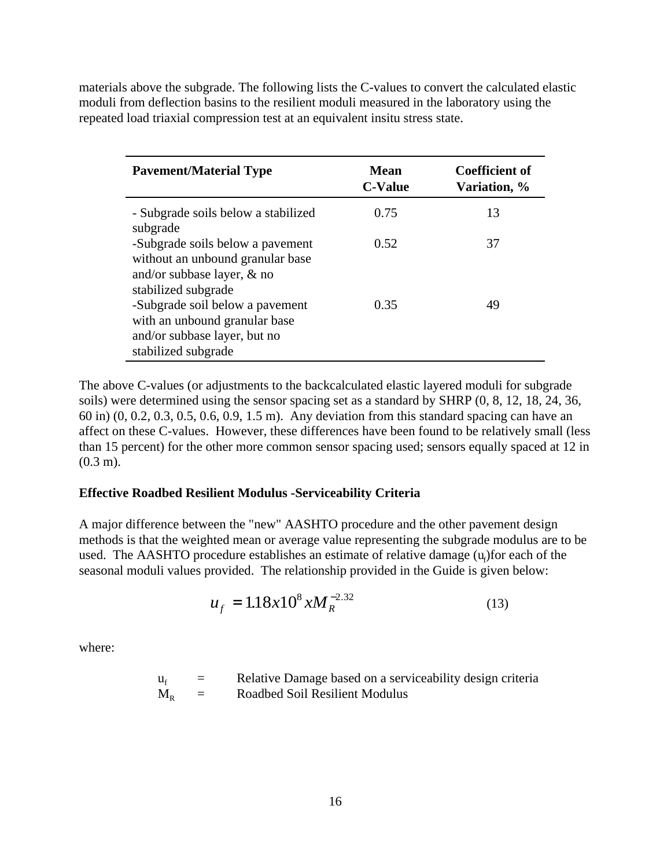materials above the subgrade. The following lists the C-values to convert the calculated elastic moduli from deflection basins to the resilient moduli measured in the laboratory using the repeated load triaxial compression test at an equivalent insitu stress state.

| <b>Pavement/Material Type</b>                                                                                                | Mean<br><b>C-Value</b> | <b>Coefficient of</b><br>Variation, % |
|------------------------------------------------------------------------------------------------------------------------------|------------------------|---------------------------------------|
| - Subgrade soils below a stabilized<br>subgrade                                                                              | 0.75                   | 13                                    |
| -Subgrade soils below a pavement<br>without an unbound granular base<br>and/or subbase layer, $\&$ no<br>stabilized subgrade | 0.52                   | 37                                    |
| -Subgrade soil below a pavement<br>with an unbound granular base<br>and/or subbase layer, but no<br>stabilized subgrade      | 0.35                   | 49                                    |

The above C-values (or adjustments to the backcalculated elastic layered moduli for subgrade soils) were determined using the sensor spacing set as a standard by SHRP (0, 8, 12, 18, 24, 36, 60 in) (0, 0.2, 0.3, 0.5, 0.6, 0.9, 1.5 m). Any deviation from this standard spacing can have an affect on these C-values. However, these differences have been found to be relatively small (less than 15 percent) for the other more common sensor spacing used; sensors equally spaced at 12 in (0.3 m).

#### **Effective Roadbed Resilient Modulus -Serviceability Criteria**

A major difference between the "new" AASHTO procedure and the other pavement design methods is that the weighted mean or average value representing the subgrade modulus are to be used. The AASHTO procedure establishes an estimate of relative damage  $(u_f)$  for each of the seasonal moduli values provided. The relationship provided in the Guide is given below:

$$
u_f = 1.18x10^8 xM_R^{-2.32}
$$
 (13)

where:

$$
u_f = Relative Damage based on a serviceability design criteria\n
$$
M_R = Roadbed Soil Resilient Modulus
$$
$$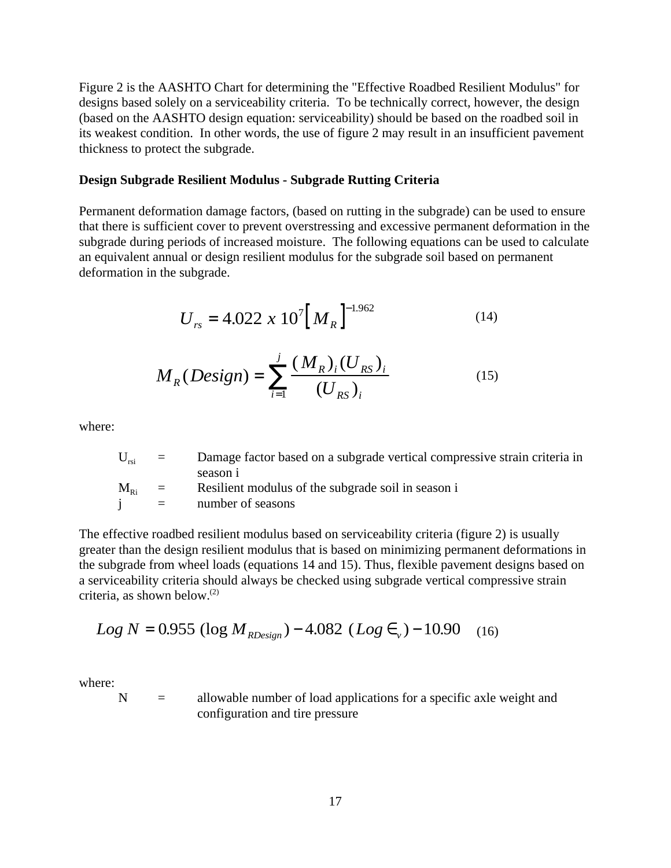Figure 2 is the AASHTO Chart for determining the "Effective Roadbed Resilient Modulus" for designs based solely on a serviceability criteria. To be technically correct, however, the design (based on the AASHTO design equation: serviceability) should be based on the roadbed soil in its weakest condition. In other words, the use of figure 2 may result in an insufficient pavement thickness to protect the subgrade.

#### **Design Subgrade Resilient Modulus - Subgrade Rutting Criteria**

Permanent deformation damage factors, (based on rutting in the subgrade) can be used to ensure that there is sufficient cover to prevent overstressing and excessive permanent deformation in the subgrade during periods of increased moisture. The following equations can be used to calculate an equivalent annual or design resilient modulus for the subgrade soil based on permanent deformation in the subgrade.

$$
U_{rs} = 4.022 \times 10^7 \left[ M_R \right]^{-1.962} \tag{14}
$$

$$
M_R(Design) = \sum_{i=1}^{j} \frac{(M_R)_i (U_{RS})_i}{(U_{RS})_i}
$$
(15)

where:

|                                    | $U_{\rm rsi} =$ | Damage factor based on a subgrade vertical compressive strain criteria in |
|------------------------------------|-----------------|---------------------------------------------------------------------------|
|                                    |                 | season 1                                                                  |
| $\rm M_{\rm \scriptscriptstyle D}$ | $\equiv$        | Resilient modulus of the subgrade soil in season i                        |
|                                    | $\equiv$        | number of seasons                                                         |

The effective roadbed resilient modulus based on serviceability criteria (figure 2) is usually greater than the design resilient modulus that is based on minimizing permanent deformations in the subgrade from wheel loads (equations 14 and 15). Thus, flexible pavement designs based on a serviceability criteria should always be checked using subgrade vertical compressive strain criteria, as shown below. $^{(2)}$ 

$$
Log N = 0.955 (log M_{RDesign}) - 4.082 (Log \epsilon_{v}) - 10.90
$$
 (16)

where:

 $N =$  allowable number of load applications for a specific axle weight and configuration and tire pressure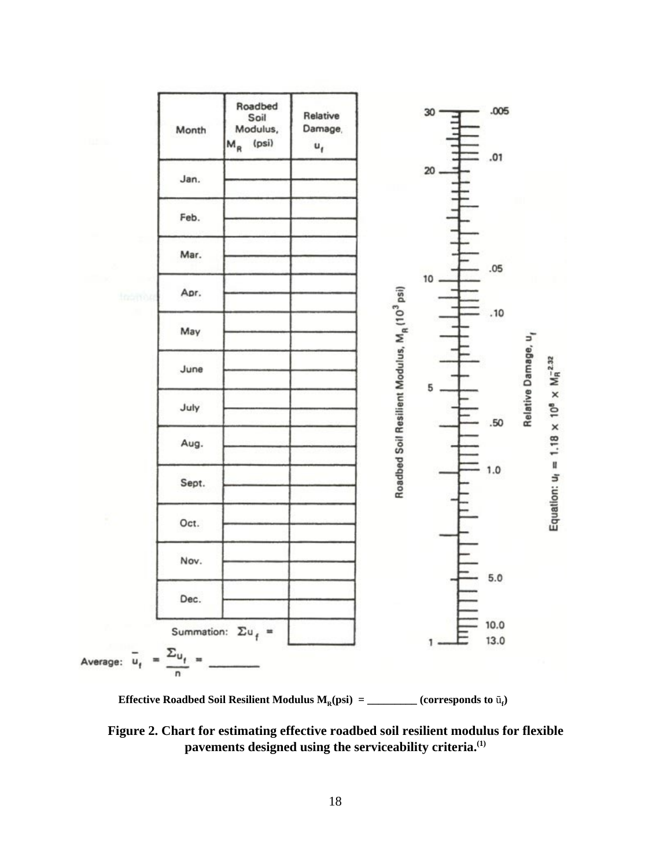

Effective Roadbed Soil Resilient Modulus  $M_R(psi) =$  \_\_\_\_\_\_\_\_\_\_ (corresponds to  $\bar{u}_f$ )

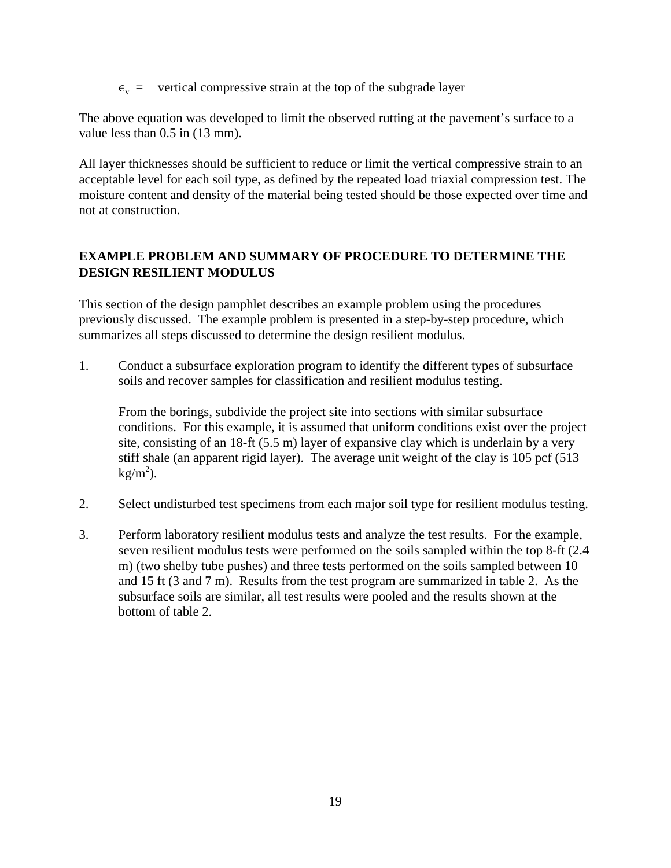$\epsilon_v$  = vertical compressive strain at the top of the subgrade layer

The above equation was developed to limit the observed rutting at the pavement's surface to a value less than 0.5 in (13 mm).

All layer thicknesses should be sufficient to reduce or limit the vertical compressive strain to an acceptable level for each soil type, as defined by the repeated load triaxial compression test. The moisture content and density of the material being tested should be those expected over time and not at construction.

# **EXAMPLE PROBLEM AND SUMMARY OF PROCEDURE TO DETERMINE THE DESIGN RESILIENT MODULUS**

This section of the design pamphlet describes an example problem using the procedures previously discussed. The example problem is presented in a step-by-step procedure, which summarizes all steps discussed to determine the design resilient modulus.

1. Conduct a subsurface exploration program to identify the different types of subsurface soils and recover samples for classification and resilient modulus testing.

From the borings, subdivide the project site into sections with similar subsurface conditions. For this example, it is assumed that uniform conditions exist over the project site, consisting of an 18-ft (5.5 m) layer of expansive clay which is underlain by a very stiff shale (an apparent rigid layer). The average unit weight of the clay is 105 pcf (513  $kg/m<sup>2</sup>$ ).

- 2. Select undisturbed test specimens from each major soil type for resilient modulus testing.
- 3. Perform laboratory resilient modulus tests and analyze the test results. For the example, seven resilient modulus tests were performed on the soils sampled within the top 8-ft (2.4 m) (two shelby tube pushes) and three tests performed on the soils sampled between 10 and 15 ft (3 and 7 m). Results from the test program are summarized in table 2. As the subsurface soils are similar, all test results were pooled and the results shown at the bottom of table 2.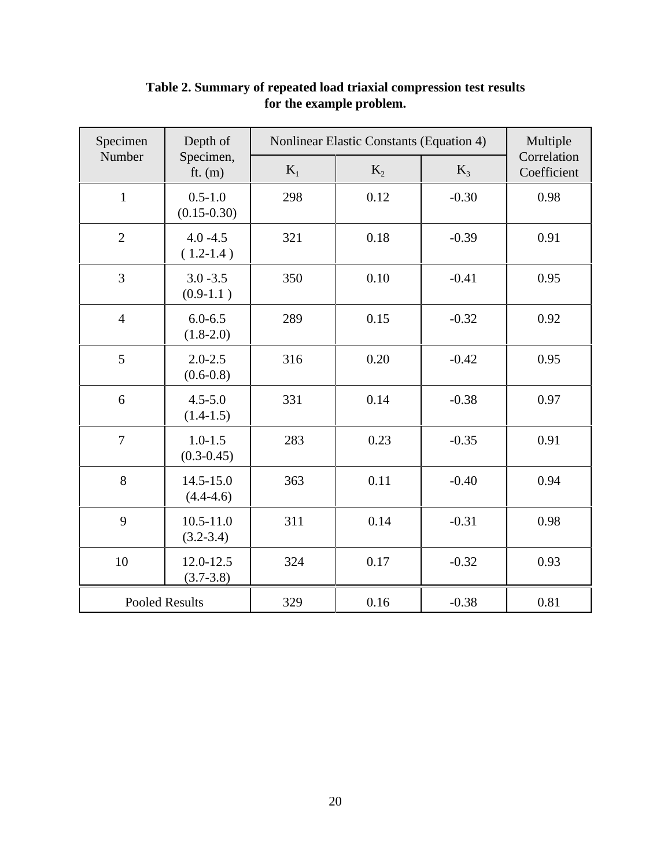| Specimen              | Depth of<br>Specimen,<br>ft. $(m)$ | <b>Nonlinear Elastic Constants (Equation 4)</b> | Multiple |         |                            |
|-----------------------|------------------------------------|-------------------------------------------------|----------|---------|----------------------------|
| Number                |                                    | $K_1$                                           | $K_{2}$  | $K_3$   | Correlation<br>Coefficient |
| $\mathbf{1}$          | $0.5 - 1.0$<br>$(0.15 - 0.30)$     | 298                                             | 0.12     | $-0.30$ | 0.98                       |
| $\overline{2}$        | $4.0 - 4.5$<br>$(1.2-1.4)$         | 321                                             | 0.18     | $-0.39$ | 0.91                       |
| $\overline{3}$        | $3.0 - 3.5$<br>$(0.9-1.1)$         | 350                                             | 0.10     | $-0.41$ | 0.95                       |
| $\overline{4}$        | $6.0 - 6.5$<br>$(1.8-2.0)$         | 289                                             | 0.15     | $-0.32$ | 0.92                       |
| 5                     | $2.0 - 2.5$<br>$(0.6-0.8)$         | 316                                             | 0.20     | $-0.42$ | 0.95                       |
| 6                     | $4.5 - 5.0$<br>$(1.4-1.5)$         | 331                                             | 0.14     | $-0.38$ | 0.97                       |
| $\overline{7}$        | $1.0 - 1.5$<br>$(0.3 - 0.45)$      | 283                                             | 0.23     | $-0.35$ | 0.91                       |
| 8                     | $14.5 - 15.0$<br>$(4.4-4.6)$       | 363                                             | 0.11     | $-0.40$ | 0.94                       |
| 9                     | $10.5 - 11.0$<br>$(3.2 - 3.4)$     | 311                                             | 0.14     | $-0.31$ | 0.98                       |
| 10                    | $12.0 - 12.5$<br>$(3.7 - 3.8)$     | 324                                             | 0.17     | $-0.32$ | 0.93                       |
| <b>Pooled Results</b> |                                    | 329                                             | 0.16     | $-0.38$ | 0.81                       |

# **Table 2. Summary of repeated load triaxial compression test results for the example problem.**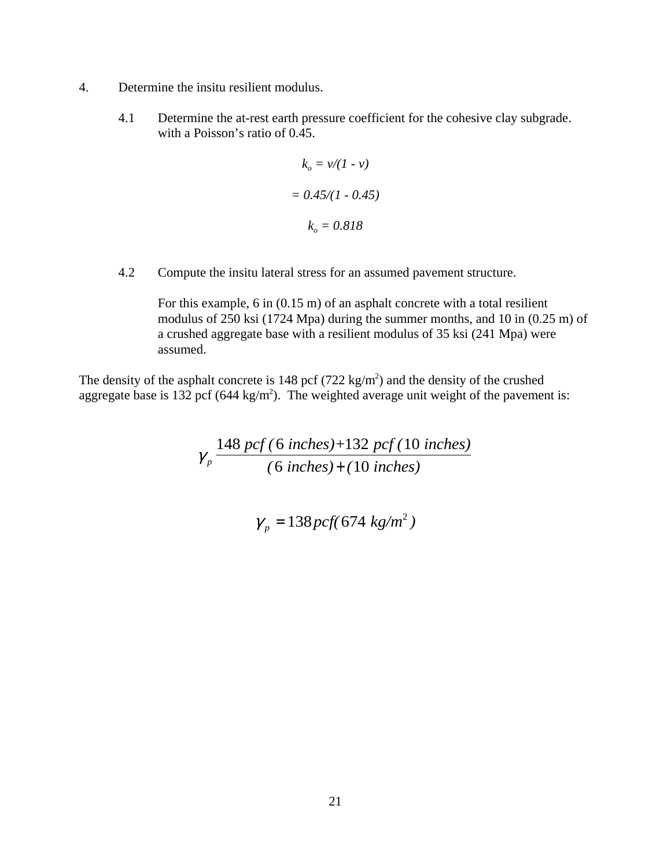- 4. Determine the insitu resilient modulus.
	- 4.1 Determine the at-rest earth pressure coefficient for the cohesive clay subgrade. with a Poisson's ratio of 0.45.

$$
k_o = v/(1 - v)
$$

$$
= 0.45/(1 - 0.45)
$$

$$
k_o = 0.818
$$

4.2 Compute the insitu lateral stress for an assumed pavement structure.

For this example, 6 in (0.15 m) of an asphalt concrete with a total resilient modulus of 250 ksi (1724 Mpa) during the summer months, and 10 in (0.25 m) of a crushed aggregate base with a resilient modulus of 35 ksi (241 Mpa) were assumed.

The density of the asphalt concrete is  $148 \text{ pcf } (722 \text{ kg/m}^2)$  and the density of the crushed aggregate base is 132 pcf (644 kg/m<sup>2</sup>). The weighted average unit weight of the pavement is:

> ${\mathcal Y}_p$  *pcf ( inches)+ pcf ( inches) ( inches) ( inches)* 148  $\text{pcf}$  (6 inches)+132  $\text{pcf}$  (10  $6$  inches) +  $(10)$  $inches$ )+

$$
\gamma_p = 138 \, pcf(674 \ kg/m^2)
$$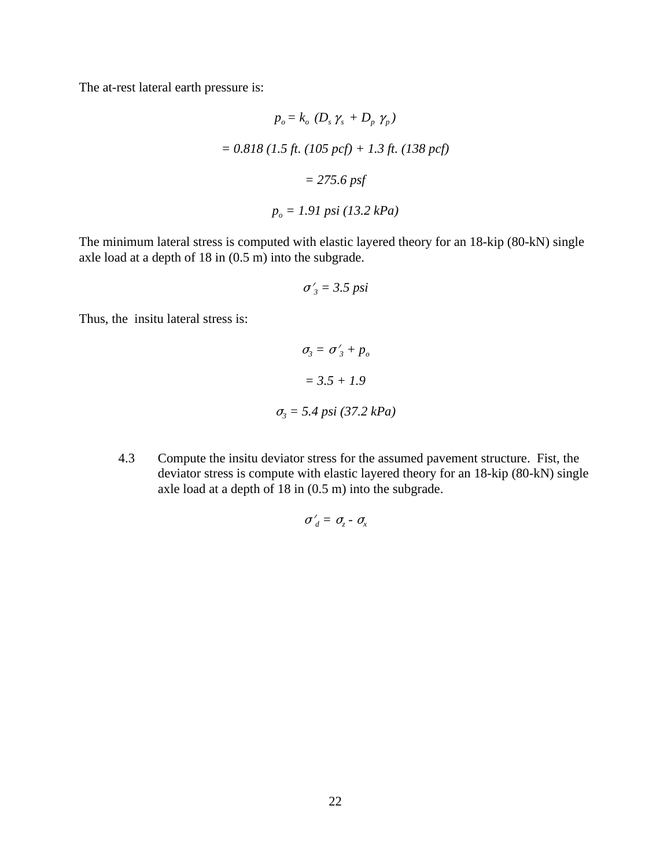The at-rest lateral earth pressure is:

$$
p_o = k_o (D_s \gamma_s + D_p \gamma_p)
$$
  
= 0.818 (1.5 ft. (105 pcf) + 1.3 ft. (138 pcf)  
= 275.6 psf  

$$
p_o = 1.91 psi (13.2 kPa)
$$

The minimum lateral stress is computed with elastic layered theory for an 18-kip (80-kN) single axle load at a depth of 18 in (0.5 m) into the subgrade.

$$
\sigma'_3 = 3.5\,\mathrm{psi}
$$

Thus, the insitu lateral stress is:

$$
\sigma_3 = \sigma'_3 + p_o
$$

$$
= 3.5 + 1.9
$$

$$
\sigma_3 = 5.4 \text{ psi } (37.2 \text{ kPa})
$$

4.3 Compute the insitu deviator stress for the assumed pavement structure. Fist, the deviator stress is compute with elastic layered theory for an 18-kip (80-kN) single axle load at a depth of 18 in (0.5 m) into the subgrade.

$$
\sigma'_d = \sigma_z - \sigma_x
$$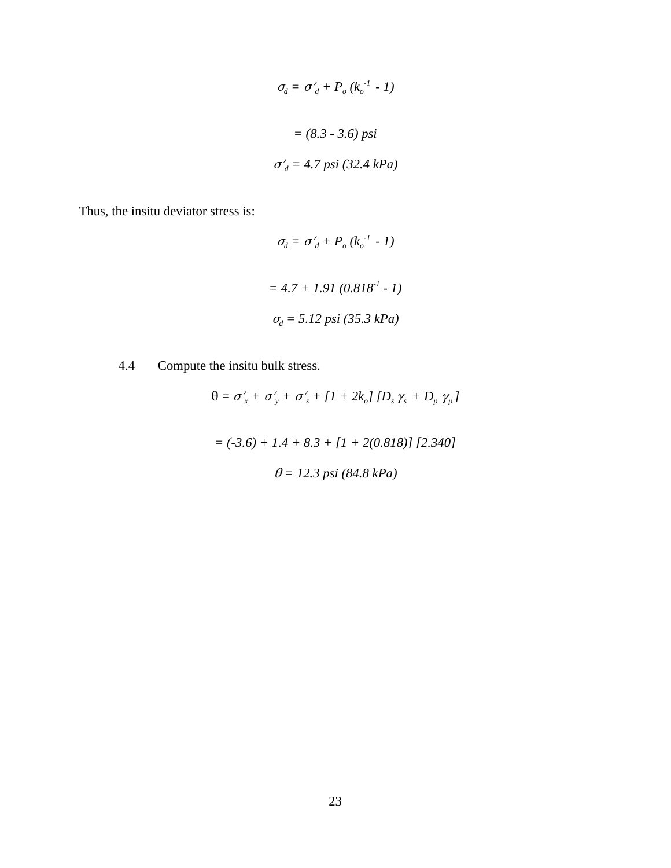$$
\sigma_d = \sigma'_d + P_o (k_o^{-1} - 1)
$$
  
= (8.3 - 3.6) psi  

$$
\sigma'_d = 4.7 psi (32.4 kPa)
$$

Thus, the insitu deviator stress is:

$$
\sigma_d = \sigma'_d + P_o (k_o^{-1} - 1)
$$
  
= 4.7 + 1.91 (0.818<sup>-1</sup> - 1)  

$$
\sigma_d = 5.12 \text{ psi} (35.3 \text{ kPa})
$$

4.4 Compute the insitu bulk stress.

$$
\theta = \sigma_x' + \sigma_y' + \sigma_z' + [1 + 2k_o][D_s \gamma_s + D_p \gamma_p]
$$
  
= (-3.6) + 1.4 + 8.3 + [1 + 2(0.818)] [2.340]  

$$
\theta = 12.3 \text{ psi} (84.8 \text{ kPa})
$$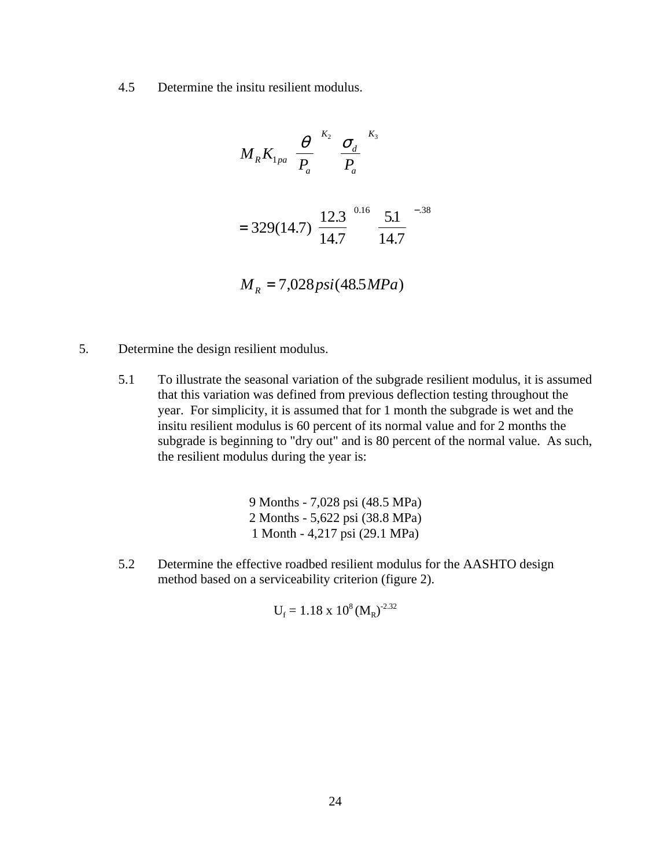4.5 Determine the insitu resilient modulus.

$$
M_R K_{1pa} \left[ \frac{\theta}{P_a} \right]^{K_2} \left[ \frac{\sigma_d}{P_a} \right]^{K_3}
$$
  
= 329(14.7)  $\left[ \frac{12.3}{14.7} \right]^{0.16} \left[ \frac{5.1}{14.7} \right]^{-.38}$   

$$
M_R = 7,028 psi(48.5 MPa)
$$

- 5. Determine the design resilient modulus.
	- 5.1 To illustrate the seasonal variation of the subgrade resilient modulus, it is assumed that this variation was defined from previous deflection testing throughout the year. For simplicity, it is assumed that for 1 month the subgrade is wet and the insitu resilient modulus is 60 percent of its normal value and for 2 months the subgrade is beginning to "dry out" and is 80 percent of the normal value. As such, the resilient modulus during the year is:

9 Months - 7,028 psi (48.5 MPa) 2 Months - 5,622 psi (38.8 MPa) 1 Month - 4,217 psi (29.1 MPa)

5.2 Determine the effective roadbed resilient modulus for the AASHTO design method based on a serviceability criterion (figure 2).

$$
U_f = 1.18 \times 10^8 (M_R)^{-2.32}
$$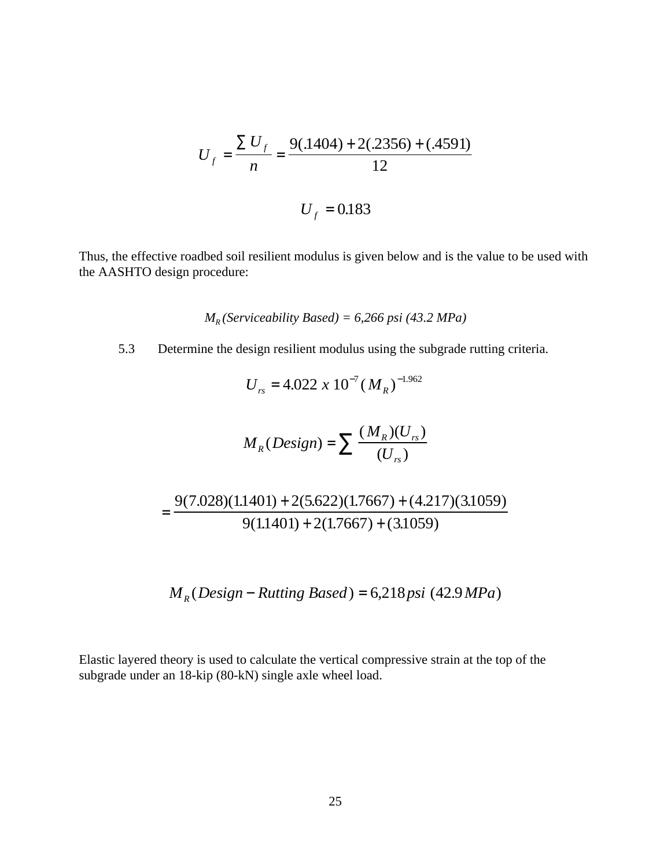$$
U_f = \frac{\sum U_f}{n} = \frac{9(0.1404) + 2(0.2356) + (0.4591)}{12}
$$

$$
U_f = 0.183
$$

Thus, the effective roadbed soil resilient modulus is given below and is the value to be used with the AASHTO design procedure:

$$
M_R
$$
(Serviceability Based) = 6,266 psi (43.2 MPa)

5.3 Determine the design resilient modulus using the subgrade rutting criteria.

$$
U_{rs} = 4.022 \times 10^{-7} (M_R)^{-1.962}
$$

$$
M_R(Design) = \sum \frac{(M_R)(U_{rs})}{(U_{rs})}
$$

$$
=\frac{9(7.028)(1.1401) + 2(5.622)(1.7667) + (4.217)(3.1059)}{9(1.1401) + 2(1.7667) + (3.1059)}
$$

$$
M_R(Design - Rutting Based) = 6,218 psi (42.9 MPa)
$$

Elastic layered theory is used to calculate the vertical compressive strain at the top of the subgrade under an 18-kip (80-kN) single axle wheel load.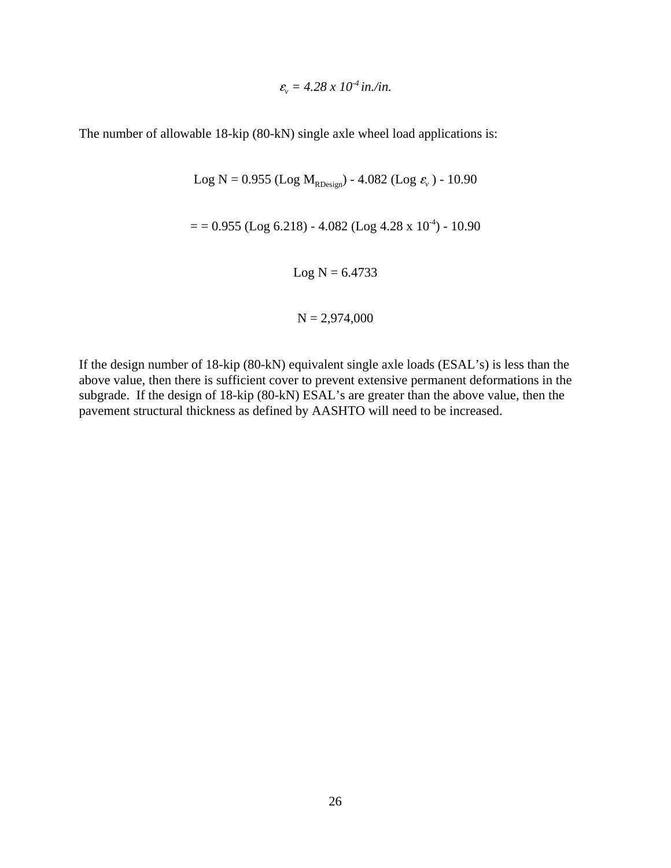$$
\varepsilon_{v} = 4.28 \times 10^{-4} \text{ in.}/\text{in.}
$$

The number of allowable 18-kip (80-kN) single axle wheel load applications is:

Log N = 0.955 (Log M<sub>RDesign</sub>) - 4.082 (Log 
$$
\varepsilon
$$
<sub>v</sub>) - 10.90  
= = 0.955 (Log 6.218) - 4.082 (Log 4.28 x 10<sup>-4</sup>) - 10.90  
Log N = 6.4733  
N = 2,974,000

If the design number of 18-kip (80-kN) equivalent single axle loads (ESAL's) is less than the above value, then there is sufficient cover to prevent extensive permanent deformations in the subgrade. If the design of 18-kip (80-kN) ESAL's are greater than the above value, then the pavement structural thickness as defined by AASHTO will need to be increased.